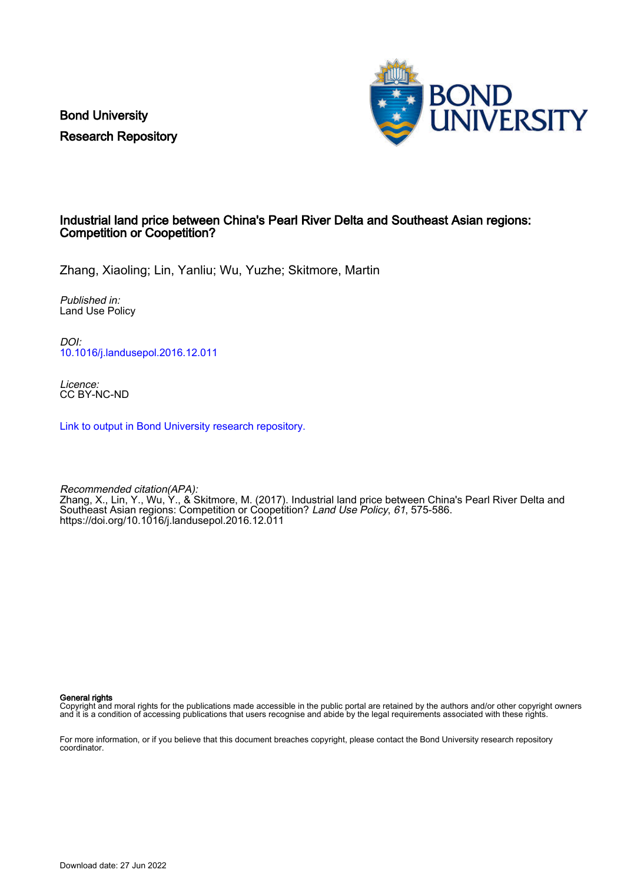Bond University Research Repository



## Industrial land price between China's Pearl River Delta and Southeast Asian regions: Competition or Coopetition?

Zhang, Xiaoling; Lin, Yanliu; Wu, Yuzhe; Skitmore, Martin

Published in: Land Use Policy

DOI: [10.1016/j.landusepol.2016.12.011](https://doi.org/10.1016/j.landusepol.2016.12.011)

Licence: CC BY-NC-ND

[Link to output in Bond University research repository.](https://research.bond.edu.au/en/publications/f18916d3-0c97-421c-ba70-479d998b59b7)

Recommended citation(APA): Zhang, X., Lin, Y., Wu, Y., & Skitmore, M. (2017). Industrial land price between China's Pearl River Delta and Southeast Asian regions: Competition or Coopetition? Land Use Policy, 61, 575-586. <https://doi.org/10.1016/j.landusepol.2016.12.011>

General rights

Copyright and moral rights for the publications made accessible in the public portal are retained by the authors and/or other copyright owners and it is a condition of accessing publications that users recognise and abide by the legal requirements associated with these rights.

For more information, or if you believe that this document breaches copyright, please contact the Bond University research repository coordinator.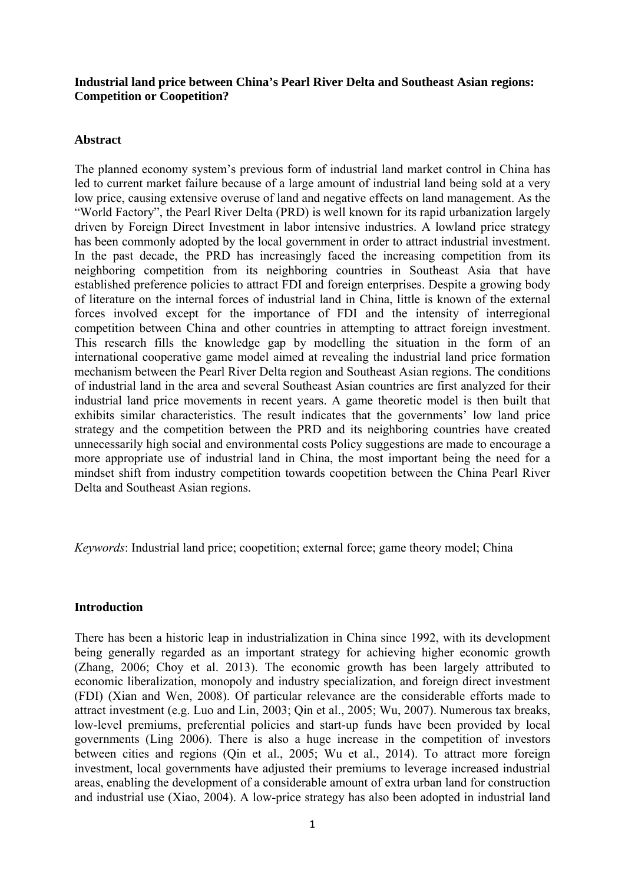## **Industrial land price between China's Pearl River Delta and Southeast Asian regions: Competition or Coopetition?**

## **Abstract**

The planned economy system's previous form of industrial land market control in China has led to current market failure because of a large amount of industrial land being sold at a very low price, causing extensive overuse of land and negative effects on land management. As the "World Factory", the Pearl River Delta (PRD) is well known for its rapid urbanization largely driven by Foreign Direct Investment in labor intensive industries. A lowland price strategy has been commonly adopted by the local government in order to attract industrial investment. In the past decade, the PRD has increasingly faced the increasing competition from its neighboring competition from its neighboring countries in Southeast Asia that have established preference policies to attract FDI and foreign enterprises. Despite a growing body of literature on the internal forces of industrial land in China, little is known of the external forces involved except for the importance of FDI and the intensity of interregional competition between China and other countries in attempting to attract foreign investment. This research fills the knowledge gap by modelling the situation in the form of an international cooperative game model aimed at revealing the industrial land price formation mechanism between the Pearl River Delta region and Southeast Asian regions. The conditions of industrial land in the area and several Southeast Asian countries are first analyzed for their industrial land price movements in recent years. A game theoretic model is then built that exhibits similar characteristics. The result indicates that the governments' low land price strategy and the competition between the PRD and its neighboring countries have created unnecessarily high social and environmental costs Policy suggestions are made to encourage a more appropriate use of industrial land in China, the most important being the need for a mindset shift from industry competition towards coopetition between the China Pearl River Delta and Southeast Asian regions.

*Keywords*: Industrial land price; coopetition; external force; game theory model; China

## **Introduction**

There has been a historic leap in industrialization in China since 1992, with its development being generally regarded as an important strategy for achieving higher economic growth (Zhang, 2006; Choy et al. 2013). The economic growth has been largely attributed to economic liberalization, monopoly and industry specialization, and foreign direct investment (FDI) (Xian and Wen, 2008). Of particular relevance are the considerable efforts made to attract investment (e.g. Luo and Lin, 2003; Qin et al., 2005; Wu, 2007). Numerous tax breaks, low-level premiums, preferential policies and start-up funds have been provided by local governments (Ling 2006). There is also a huge increase in the competition of investors between cities and regions (Qin et al., 2005; Wu et al., 2014). To attract more foreign investment, local governments have adjusted their premiums to leverage increased industrial areas, enabling the development of a considerable amount of extra urban land for construction and industrial use (Xiao, 2004). A low-price strategy has also been adopted in industrial land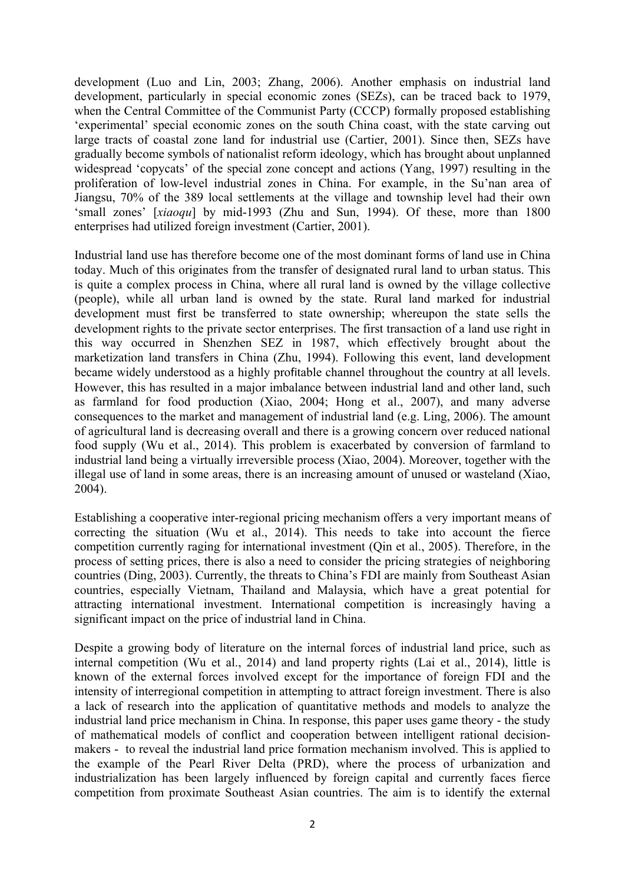development (Luo and Lin, 2003; Zhang, 2006). Another emphasis on industrial land development, particularly in special economic zones (SEZs), can be traced back to 1979, when the Central Committee of the Communist Party (CCCP) formally proposed establishing 'experimental' special economic zones on the south China coast, with the state carving out large tracts of coastal zone land for industrial use (Cartier, 2001). Since then, SEZs have gradually become symbols of nationalist reform ideology, which has brought about unplanned widespread 'copycats' of the special zone concept and actions (Yang, 1997) resulting in the proliferation of low-level industrial zones in China. For example, in the Su'nan area of Jiangsu, 70% of the 389 local settlements at the village and township level had their own 'small zones' [*xiaoqu*] by mid-1993 (Zhu and Sun, 1994). Of these, more than 1800 enterprises had utilized foreign investment (Cartier, 2001).

Industrial land use has therefore become one of the most dominant forms of land use in China today. Much of this originates from the transfer of designated rural land to urban status. This is quite a complex process in China, where all rural land is owned by the village collective (people), while all urban land is owned by the state. Rural land marked for industrial development must first be transferred to state ownership; whereupon the state sells the development rights to the private sector enterprises. The first transaction of a land use right in this way occurred in Shenzhen SEZ in 1987, which effectively brought about the marketization land transfers in China (Zhu, 1994). Following this event, land development became widely understood as a highly profitable channel throughout the country at all levels. However, this has resulted in a major imbalance between industrial land and other land, such as farmland for food production (Xiao, 2004; Hong et al., 2007), and many adverse consequences to the market and management of industrial land (e.g. Ling, 2006). The amount of agricultural land is decreasing overall and there is a growing concern over reduced national food supply (Wu et al., 2014). This problem is exacerbated by conversion of farmland to industrial land being a virtually irreversible process (Xiao, 2004). Moreover, together with the illegal use of land in some areas, there is an increasing amount of unused or wasteland (Xiao, 2004).

Establishing a cooperative inter-regional pricing mechanism offers a very important means of correcting the situation (Wu et al., 2014). This needs to take into account the fierce competition currently raging for international investment (Qin et al., 2005). Therefore, in the process of setting prices, there is also a need to consider the pricing strategies of neighboring countries (Ding, 2003). Currently, the threats to China's FDI are mainly from Southeast Asian countries, especially Vietnam, Thailand and Malaysia, which have a great potential for attracting international investment. International competition is increasingly having a significant impact on the price of industrial land in China.

Despite a growing body of literature on the internal forces of industrial land price, such as internal competition (Wu et al., 2014) and land property rights (Lai et al., 2014), little is known of the external forces involved except for the importance of foreign FDI and the intensity of interregional competition in attempting to attract foreign investment. There is also a lack of research into the application of quantitative methods and models to analyze the industrial land price mechanism in China. In response, this paper uses game theory - the study of mathematical models of conflict and cooperation between intelligent rational decisionmakers - to reveal the industrial land price formation mechanism involved. This is applied to the example of the Pearl River Delta (PRD), where the process of urbanization and industrialization has been largely influenced by foreign capital and currently faces fierce competition from proximate Southeast Asian countries. The aim is to identify the external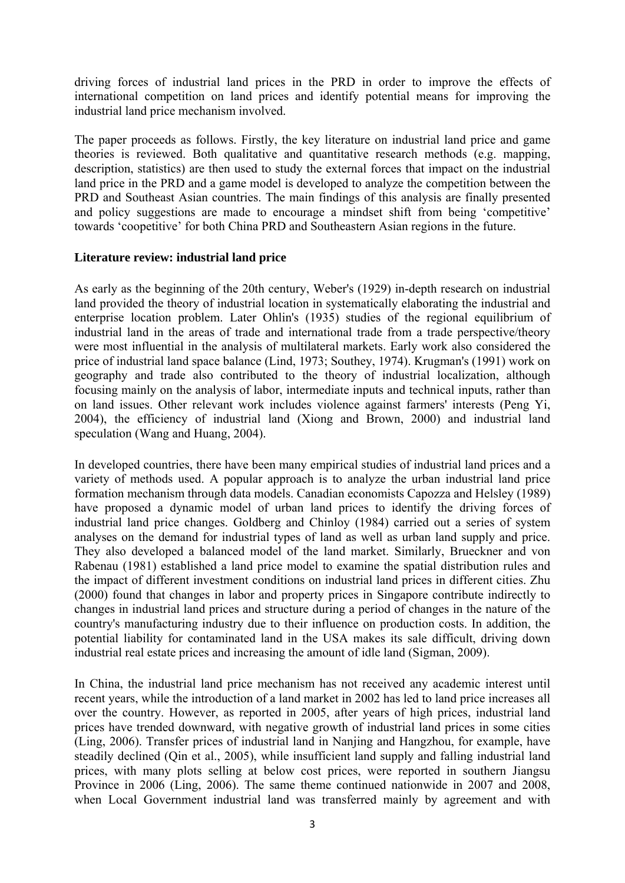driving forces of industrial land prices in the PRD in order to improve the effects of international competition on land prices and identify potential means for improving the industrial land price mechanism involved.

The paper proceeds as follows. Firstly, the key literature on industrial land price and game theories is reviewed. Both qualitative and quantitative research methods (e.g. mapping, description, statistics) are then used to study the external forces that impact on the industrial land price in the PRD and a game model is developed to analyze the competition between the PRD and Southeast Asian countries. The main findings of this analysis are finally presented and policy suggestions are made to encourage a mindset shift from being 'competitive' towards 'coopetitive' for both China PRD and Southeastern Asian regions in the future.

## **Literature review: industrial land price**

As early as the beginning of the 20th century, Weber's (1929) in-depth research on industrial land provided the theory of industrial location in systematically elaborating the industrial and enterprise location problem. Later Ohlin's (1935) studies of the regional equilibrium of industrial land in the areas of trade and international trade from a trade perspective/theory were most influential in the analysis of multilateral markets. Early work also considered the price of industrial land space balance (Lind, 1973; Southey, 1974). Krugman's (1991) work on geography and trade also contributed to the theory of industrial localization, although focusing mainly on the analysis of labor, intermediate inputs and technical inputs, rather than on land issues. Other relevant work includes violence against farmers' interests (Peng Yi, 2004), the efficiency of industrial land (Xiong and Brown, 2000) and industrial land speculation (Wang and Huang, 2004).

In developed countries, there have been many empirical studies of industrial land prices and a variety of methods used. A popular approach is to analyze the urban industrial land price formation mechanism through data models. Canadian economists Capozza and Helsley (1989) have proposed a dynamic model of urban land prices to identify the driving forces of industrial land price changes. Goldberg and Chinloy (1984) carried out a series of system analyses on the demand for industrial types of land as well as urban land supply and price. They also developed a balanced model of the land market. Similarly, Brueckner and von Rabenau (1981) established a land price model to examine the spatial distribution rules and the impact of different investment conditions on industrial land prices in different cities. Zhu (2000) found that changes in labor and property prices in Singapore contribute indirectly to changes in industrial land prices and structure during a period of changes in the nature of the country's manufacturing industry due to their influence on production costs. In addition, the potential liability for contaminated land in the USA makes its sale difficult, driving down industrial real estate prices and increasing the amount of idle land (Sigman, 2009).

In China, the industrial land price mechanism has not received any academic interest until recent years, while the introduction of a land market in 2002 has led to land price increases all over the country. However, as reported in 2005, after years of high prices, industrial land prices have trended downward, with negative growth of industrial land prices in some cities (Ling, 2006). Transfer prices of industrial land in Nanjing and Hangzhou, for example, have steadily declined (Qin et al., 2005), while insufficient land supply and falling industrial land prices, with many plots selling at below cost prices, were reported in southern Jiangsu Province in 2006 (Ling, 2006). The same theme continued nationwide in 2007 and 2008, when Local Government industrial land was transferred mainly by agreement and with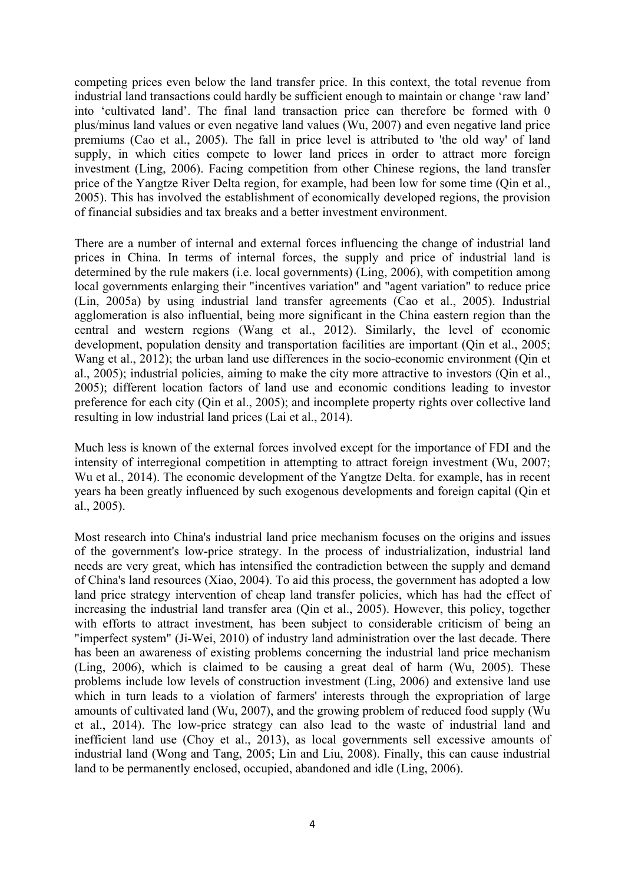competing prices even below the land transfer price. In this context, the total revenue from industrial land transactions could hardly be sufficient enough to maintain or change 'raw land' into 'cultivated land'. The final land transaction price can therefore be formed with 0 plus/minus land values or even negative land values (Wu, 2007) and even negative land price premiums (Cao et al., 2005). The fall in price level is attributed to 'the old way' of land supply, in which cities compete to lower land prices in order to attract more foreign investment (Ling, 2006). Facing competition from other Chinese regions, the land transfer price of the Yangtze River Delta region, for example, had been low for some time (Qin et al., 2005). This has involved the establishment of economically developed regions, the provision of financial subsidies and tax breaks and a better investment environment.

There are a number of internal and external forces influencing the change of industrial land prices in China. In terms of internal forces, the supply and price of industrial land is determined by the rule makers (i.e. local governments) (Ling, 2006), with competition among local governments enlarging their "incentives variation" and "agent variation" to reduce price (Lin, 2005a) by using industrial land transfer agreements (Cao et al., 2005). Industrial agglomeration is also influential, being more significant in the China eastern region than the central and western regions (Wang et al., 2012). Similarly, the level of economic development, population density and transportation facilities are important (Qin et al., 2005; Wang et al., 2012); the urban land use differences in the socio-economic environment (Qin et al., 2005); industrial policies, aiming to make the city more attractive to investors (Qin et al., 2005); different location factors of land use and economic conditions leading to investor preference for each city (Qin et al., 2005); and incomplete property rights over collective land resulting in low industrial land prices (Lai et al., 2014).

Much less is known of the external forces involved except for the importance of FDI and the intensity of interregional competition in attempting to attract foreign investment (Wu, 2007; Wu et al., 2014). The economic development of the Yangtze Delta, for example, has in recent years ha been greatly influenced by such exogenous developments and foreign capital (Qin et al., 2005).

Most research into China's industrial land price mechanism focuses on the origins and issues of the government's low-price strategy. In the process of industrialization, industrial land needs are very great, which has intensified the contradiction between the supply and demand of China's land resources (Xiao, 2004). To aid this process, the government has adopted a low land price strategy intervention of cheap land transfer policies, which has had the effect of increasing the industrial land transfer area (Qin et al., 2005). However, this policy, together with efforts to attract investment, has been subject to considerable criticism of being an "imperfect system" (Ji-Wei, 2010) of industry land administration over the last decade. There has been an awareness of existing problems concerning the industrial land price mechanism (Ling, 2006), which is claimed to be causing a great deal of harm (Wu, 2005). These problems include low levels of construction investment (Ling, 2006) and extensive land use which in turn leads to a violation of farmers' interests through the expropriation of large amounts of cultivated land (Wu, 2007), and the growing problem of reduced food supply (Wu et al., 2014). The low-price strategy can also lead to the waste of industrial land and inefficient land use (Choy et al., 2013), as local governments sell excessive amounts of industrial land (Wong and Tang, 2005; Lin and Liu, 2008). Finally, this can cause industrial land to be permanently enclosed, occupied, abandoned and idle (Ling, 2006).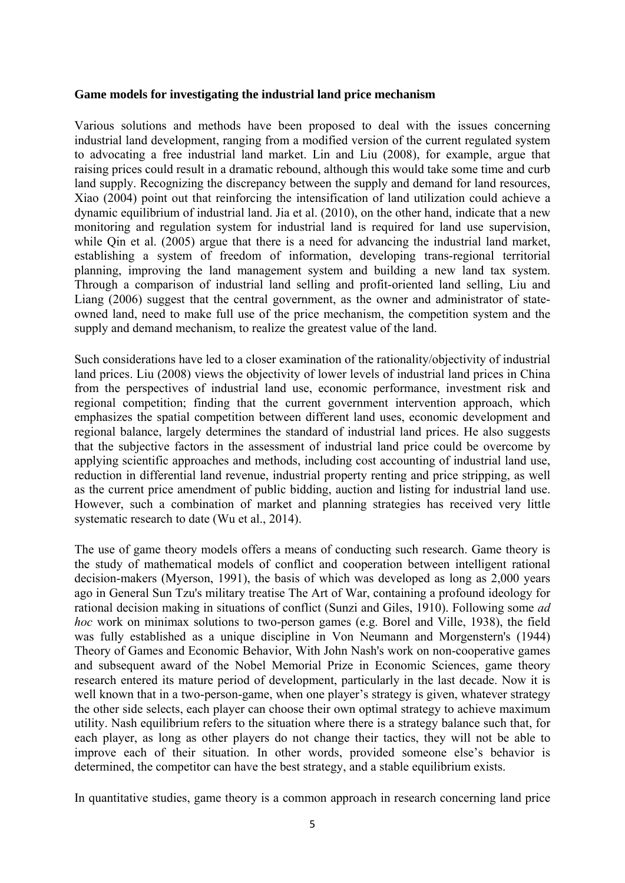#### **Game models for investigating the industrial land price mechanism**

Various solutions and methods have been proposed to deal with the issues concerning industrial land development, ranging from a modified version of the current regulated system to advocating a free industrial land market. Lin and Liu (2008), for example, argue that raising prices could result in a dramatic rebound, although this would take some time and curb land supply. Recognizing the discrepancy between the supply and demand for land resources, Xiao (2004) point out that reinforcing the intensification of land utilization could achieve a dynamic equilibrium of industrial land. Jia et al. (2010), on the other hand, indicate that a new monitoring and regulation system for industrial land is required for land use supervision, while Qin et al. (2005) argue that there is a need for advancing the industrial land market, establishing a system of freedom of information, developing trans-regional territorial planning, improving the land management system and building a new land tax system. Through a comparison of industrial land selling and profit-oriented land selling, Liu and Liang (2006) suggest that the central government, as the owner and administrator of stateowned land, need to make full use of the price mechanism, the competition system and the supply and demand mechanism, to realize the greatest value of the land.

Such considerations have led to a closer examination of the rationality/objectivity of industrial land prices. Liu (2008) views the objectivity of lower levels of industrial land prices in China from the perspectives of industrial land use, economic performance, investment risk and regional competition; finding that the current government intervention approach, which emphasizes the spatial competition between different land uses, economic development and regional balance, largely determines the standard of industrial land prices. He also suggests that the subjective factors in the assessment of industrial land price could be overcome by applying scientific approaches and methods, including cost accounting of industrial land use, reduction in differential land revenue, industrial property renting and price stripping, as well as the current price amendment of public bidding, auction and listing for industrial land use. However, such a combination of market and planning strategies has received very little systematic research to date (Wu et al., 2014).

The use of game theory models offers a means of conducting such research. Game theory is the study of mathematical models of conflict and cooperation between intelligent rational decision-makers (Myerson, 1991), the basis of which was developed as long as 2,000 years ago in General Sun Tzu's military treatise The Art of War, containing a profound ideology for rational decision making in situations of conflict (Sunzi and Giles, 1910). Following some *ad hoc* work on minimax solutions to two-person games (e.g. Borel and Ville, 1938), the field was fully established as a unique discipline in Von Neumann and Morgenstern's (1944) Theory of Games and Economic Behavior, With John Nash's work on non-cooperative games and subsequent award of the Nobel Memorial Prize in Economic Sciences, game theory research entered its mature period of development, particularly in the last decade. Now it is well known that in a two-person-game, when one player's strategy is given, whatever strategy the other side selects, each player can choose their own optimal strategy to achieve maximum utility. Nash equilibrium refers to the situation where there is a strategy balance such that, for each player, as long as other players do not change their tactics, they will not be able to improve each of their situation. In other words, provided someone else's behavior is determined, the competitor can have the best strategy, and a stable equilibrium exists.

In quantitative studies, game theory is a common approach in research concerning land price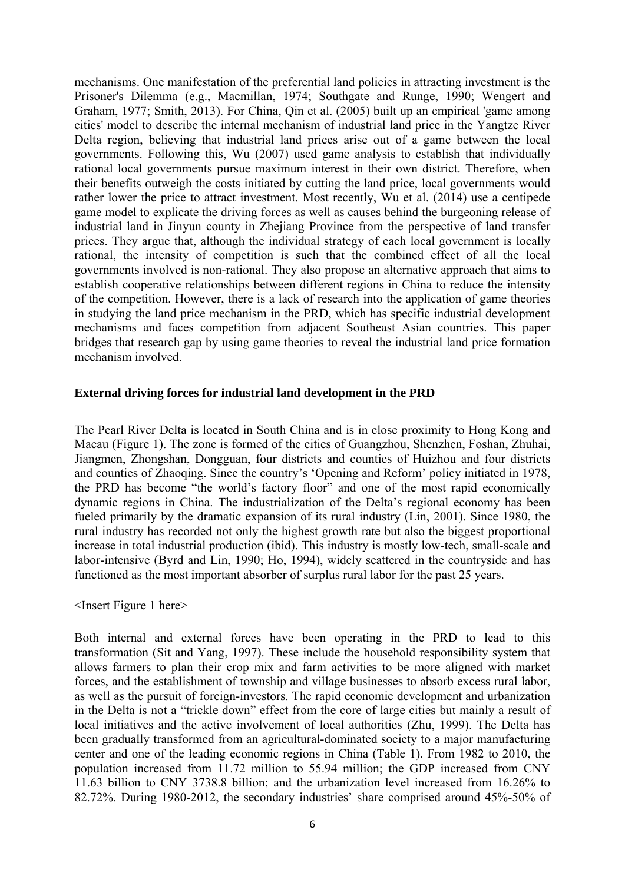mechanisms. One manifestation of the preferential land policies in attracting investment is the Prisoner's Dilemma (e.g., Macmillan, 1974; Southgate and Runge, 1990; Wengert and Graham, 1977; Smith, 2013). For China, Qin et al. (2005) built up an empirical 'game among cities' model to describe the internal mechanism of industrial land price in the Yangtze River Delta region, believing that industrial land prices arise out of a game between the local governments. Following this, Wu (2007) used game analysis to establish that individually rational local governments pursue maximum interest in their own district. Therefore, when their benefits outweigh the costs initiated by cutting the land price, local governments would rather lower the price to attract investment. Most recently, Wu et al. (2014) use a centipede game model to explicate the driving forces as well as causes behind the burgeoning release of industrial land in Jinyun county in Zhejiang Province from the perspective of land transfer prices. They argue that, although the individual strategy of each local government is locally rational, the intensity of competition is such that the combined effect of all the local governments involved is non-rational. They also propose an alternative approach that aims to establish cooperative relationships between different regions in China to reduce the intensity of the competition. However, there is a lack of research into the application of game theories in studying the land price mechanism in the PRD, which has specific industrial development mechanisms and faces competition from adjacent Southeast Asian countries. This paper bridges that research gap by using game theories to reveal the industrial land price formation mechanism involved.

#### **External driving forces for industrial land development in the PRD**

The Pearl River Delta is located in South China and is in close proximity to Hong Kong and Macau (Figure 1). The zone is formed of the cities of Guangzhou, Shenzhen, Foshan, Zhuhai, Jiangmen, Zhongshan, Dongguan, four districts and counties of Huizhou and four districts and counties of Zhaoqing. Since the country's 'Opening and Reform' policy initiated in 1978, the PRD has become "the world's factory floor" and one of the most rapid economically dynamic regions in China. The industrialization of the Delta's regional economy has been fueled primarily by the dramatic expansion of its rural industry (Lin, 2001). Since 1980, the rural industry has recorded not only the highest growth rate but also the biggest proportional increase in total industrial production (ibid). This industry is mostly low-tech, small-scale and labor-intensive (Byrd and Lin, 1990; Ho, 1994), widely scattered in the countryside and has functioned as the most important absorber of surplus rural labor for the past 25 years.

## <Insert Figure 1 here>

Both internal and external forces have been operating in the PRD to lead to this transformation (Sit and Yang, 1997). These include the household responsibility system that allows farmers to plan their crop mix and farm activities to be more aligned with market forces, and the establishment of township and village businesses to absorb excess rural labor, as well as the pursuit of foreign-investors. The rapid economic development and urbanization in the Delta is not a "trickle down" effect from the core of large cities but mainly a result of local initiatives and the active involvement of local authorities (Zhu, 1999). The Delta has been gradually transformed from an agricultural-dominated society to a major manufacturing center and one of the leading economic regions in China (Table 1). From 1982 to 2010, the population increased from 11.72 million to 55.94 million; the GDP increased from CNY 11.63 billion to CNY 3738.8 billion; and the urbanization level increased from 16.26% to 82.72%. During 1980-2012, the secondary industries' share comprised around 45%-50% of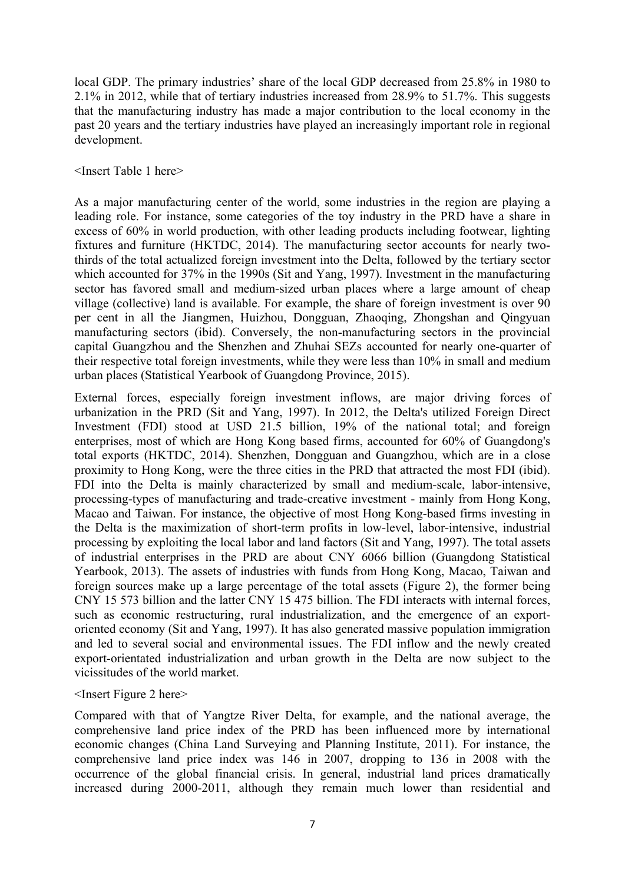local GDP. The primary industries' share of the local GDP decreased from 25.8% in 1980 to 2.1% in 2012, while that of tertiary industries increased from 28.9% to 51.7%. This suggests that the manufacturing industry has made a major contribution to the local economy in the past 20 years and the tertiary industries have played an increasingly important role in regional development.

<Insert Table 1 here>

As a major manufacturing center of the world, some industries in the region are playing a leading role. For instance, some categories of the toy industry in the PRD have a share in excess of 60% in world production, with other leading products including footwear, lighting fixtures and furniture (HKTDC, 2014). The manufacturing sector accounts for nearly twothirds of the total actualized foreign investment into the Delta, followed by the tertiary sector which accounted for 37% in the 1990s (Sit and Yang, 1997). Investment in the manufacturing sector has favored small and medium-sized urban places where a large amount of cheap village (collective) land is available. For example, the share of foreign investment is over 90 per cent in all the Jiangmen, Huizhou, Dongguan, Zhaoqing, Zhongshan and Qingyuan manufacturing sectors (ibid). Conversely, the non-manufacturing sectors in the provincial capital Guangzhou and the Shenzhen and Zhuhai SEZs accounted for nearly one-quarter of their respective total foreign investments, while they were less than 10% in small and medium urban places (Statistical Yearbook of Guangdong Province, 2015).

External forces, especially foreign investment inflows, are major driving forces of urbanization in the PRD (Sit and Yang, 1997). In 2012, the Delta's utilized Foreign Direct Investment (FDI) stood at USD 21.5 billion, 19% of the national total; and foreign enterprises, most of which are Hong Kong based firms, accounted for 60% of Guangdong's total exports (HKTDC, 2014). Shenzhen, Dongguan and Guangzhou, which are in a close proximity to Hong Kong, were the three cities in the PRD that attracted the most FDI (ibid). FDI into the Delta is mainly characterized by small and medium-scale, labor-intensive, processing-types of manufacturing and trade-creative investment - mainly from Hong Kong, Macao and Taiwan. For instance, the objective of most Hong Kong-based firms investing in the Delta is the maximization of short-term profits in low-level, labor-intensive, industrial processing by exploiting the local labor and land factors (Sit and Yang, 1997). The total assets of industrial enterprises in the PRD are about CNY 6066 billion (Guangdong Statistical Yearbook, 2013). The assets of industries with funds from Hong Kong, Macao, Taiwan and foreign sources make up a large percentage of the total assets (Figure 2), the former being CNY 15 573 billion and the latter CNY 15 475 billion. The FDI interacts with internal forces, such as economic restructuring, rural industrialization, and the emergence of an exportoriented economy (Sit and Yang, 1997). It has also generated massive population immigration and led to several social and environmental issues. The FDI inflow and the newly created export-orientated industrialization and urban growth in the Delta are now subject to the vicissitudes of the world market.

## <Insert Figure 2 here>

Compared with that of Yangtze River Delta, for example, and the national average, the comprehensive land price index of the PRD has been influenced more by international economic changes (China Land Surveying and Planning Institute, 2011). For instance, the comprehensive land price index was 146 in 2007, dropping to 136 in 2008 with the occurrence of the global financial crisis. In general, industrial land prices dramatically increased during 2000-2011, although they remain much lower than residential and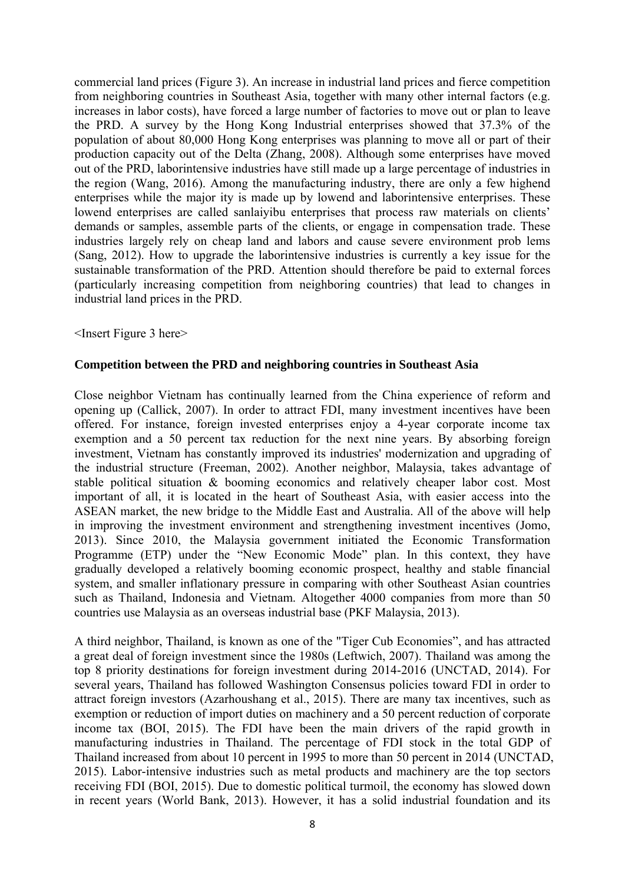commercial land prices (Figure 3). An increase in industrial land prices and fierce competition from neighboring countries in Southeast Asia, together with many other internal factors (e.g. increases in labor costs), have forced a large number of factories to move out or plan to leave the PRD. A survey by the Hong Kong Industrial enterprises showed that 37.3% of the population of about 80,000 Hong Kong enterprises was planning to move all or part of their production capacity out of the Delta (Zhang, 2008). Although some enterprises have moved out of the PRD, laborintensive industries have still made up a large percentage of industries in the region (Wang, 2016). Among the manufacturing industry, there are only a few highend enterprises while the major ity is made up by lowend and laborintensive enterprises. These lowend enterprises are called sanlaiyibu enterprises that process raw materials on clients' demands or samples, assemble parts of the clients, or engage in compensation trade. These industries largely rely on cheap land and labors and cause severe environment prob lems (Sang, 2012). How to upgrade the laborintensive industries is currently a key issue for the sustainable transformation of the PRD. Attention should therefore be paid to external forces (particularly increasing competition from neighboring countries) that lead to changes in industrial land prices in the PRD.

## <Insert Figure 3 here>

## **Competition between the PRD and neighboring countries in Southeast Asia**

Close neighbor Vietnam has continually learned from the China experience of reform and opening up (Callick, 2007). In order to attract FDI, many investment incentives have been offered. For instance, foreign invested enterprises enjoy a 4-year corporate income tax exemption and a 50 percent tax reduction for the next nine years. By absorbing foreign investment, Vietnam has constantly improved its industries' modernization and upgrading of the industrial structure (Freeman, 2002). Another neighbor, Malaysia, takes advantage of stable political situation & booming economics and relatively cheaper labor cost. Most important of all, it is located in the heart of Southeast Asia, with easier access into the ASEAN market, the new bridge to the Middle East and Australia. All of the above will help in improving the investment environment and strengthening investment incentives (Jomo, 2013). Since 2010, the Malaysia government initiated the Economic Transformation Programme (ETP) under the "New Economic Mode" plan. In this context, they have gradually developed a relatively booming economic prospect, healthy and stable financial system, and smaller inflationary pressure in comparing with other Southeast Asian countries such as Thailand, Indonesia and Vietnam. Altogether 4000 companies from more than 50 countries use Malaysia as an overseas industrial base (PKF Malaysia, 2013).

A third neighbor, Thailand, is known as one of the "Tiger Cub Economies", and has attracted a great deal of foreign investment since the 1980s (Leftwich, 2007). Thailand was among the top 8 priority destinations for foreign investment during 2014-2016 (UNCTAD, 2014). For several years, Thailand has followed Washington Consensus policies toward FDI in order to attract foreign investors (Azarhoushang et al., 2015). There are many tax incentives, such as exemption or reduction of import duties on machinery and a 50 percent reduction of corporate income tax (BOI, 2015). The FDI have been the main drivers of the rapid growth in manufacturing industries in Thailand. The percentage of FDI stock in the total GDP of Thailand increased from about 10 percent in 1995 to more than 50 percent in 2014 (UNCTAD, 2015). Labor-intensive industries such as metal products and machinery are the top sectors receiving FDI (BOI, 2015). Due to domestic political turmoil, the economy has slowed down in recent years (World Bank, 2013). However, it has a solid industrial foundation and its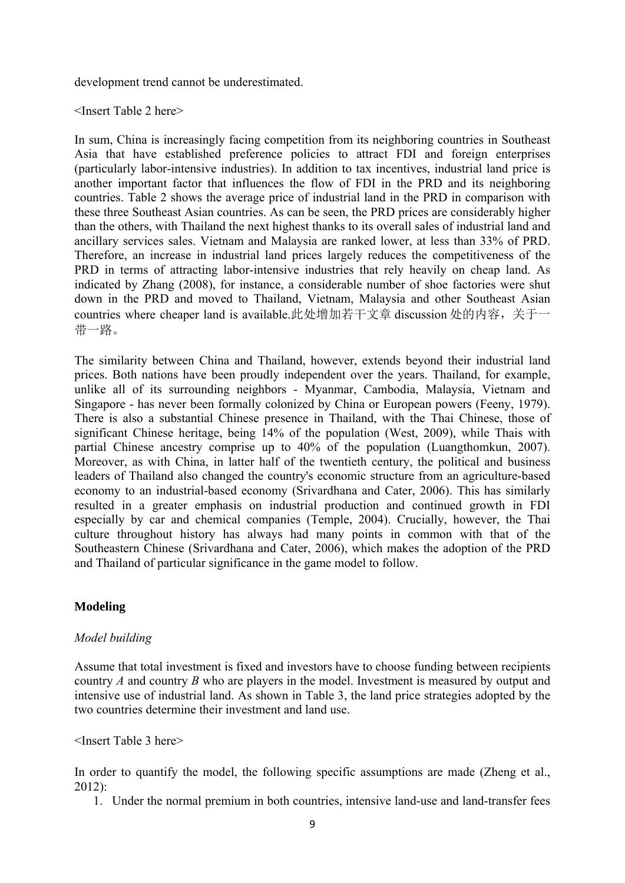development trend cannot be underestimated.

<Insert Table 2 here>

In sum, China is increasingly facing competition from its neighboring countries in Southeast Asia that have established preference policies to attract FDI and foreign enterprises (particularly labor-intensive industries). In addition to tax incentives, industrial land price is another important factor that influences the flow of FDI in the PRD and its neighboring countries. Table 2 shows the average price of industrial land in the PRD in comparison with these three Southeast Asian countries. As can be seen, the PRD prices are considerably higher than the others, with Thailand the next highest thanks to its overall sales of industrial land and ancillary services sales. Vietnam and Malaysia are ranked lower, at less than 33% of PRD. Therefore, an increase in industrial land prices largely reduces the competitiveness of the PRD in terms of attracting labor-intensive industries that rely heavily on cheap land. As indicated by Zhang (2008), for instance, a considerable number of shoe factories were shut down in the PRD and moved to Thailand, Vietnam, Malaysia and other Southeast Asian countries where cheaper land is available.此处增加若干文章 discussion 处的内容,关于一 带一路。

The similarity between China and Thailand, however, extends beyond their industrial land prices. Both nations have been proudly independent over the years. Thailand, for example, unlike all of its surrounding neighbors - Myanmar, Cambodia, Malaysia, Vietnam and Singapore - has never been formally colonized by China or European powers (Feeny, 1979). There is also a substantial Chinese presence in Thailand, with the Thai Chinese, those of significant Chinese heritage, being 14% of the population (West, 2009), while Thais with partial Chinese ancestry comprise up to 40% of the population (Luangthomkun, 2007). Moreover, as with China, in latter half of the twentieth century, the political and business leaders of Thailand also changed the country's economic structure from an agriculture-based economy to an industrial-based economy (Srivardhana and Cater, 2006). This has similarly resulted in a greater emphasis on industrial production and continued growth in FDI especially by car and chemical companies (Temple, 2004). Crucially, however, the Thai culture throughout history has always had many points in common with that of the Southeastern Chinese (Srivardhana and Cater, 2006), which makes the adoption of the PRD and Thailand of particular significance in the game model to follow.

## **Modeling**

## *Model building*

Assume that total investment is fixed and investors have to choose funding between recipients country *A* and country *B* who are players in the model. Investment is measured by output and intensive use of industrial land. As shown in Table 3, the land price strategies adopted by the two countries determine their investment and land use.

<Insert Table 3 here>

In order to quantify the model, the following specific assumptions are made (Zheng et al., 2012):

1. Under the normal premium in both countries, intensive land-use and land-transfer fees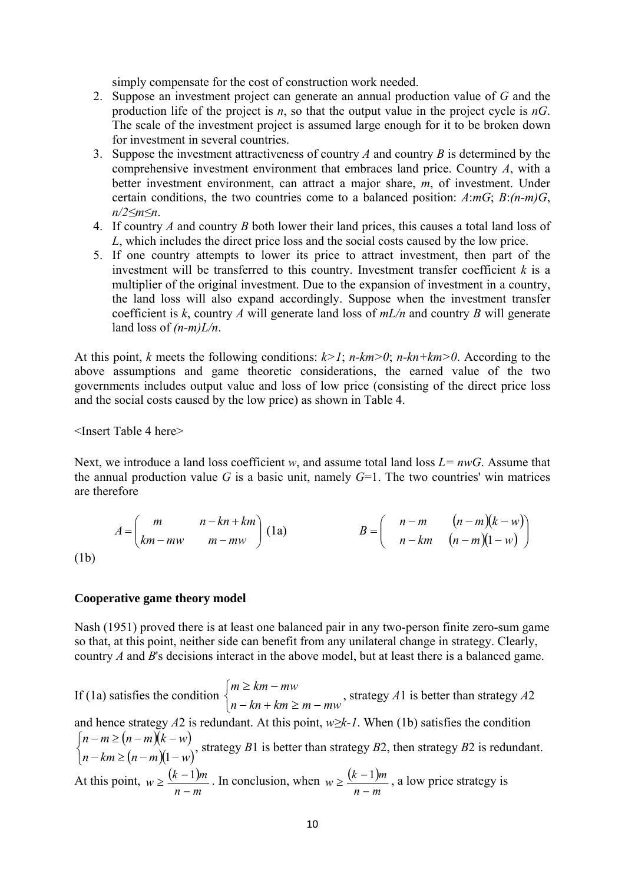simply compensate for the cost of construction work needed.

- 2. Suppose an investment project can generate an annual production value of *G* and the production life of the project is *n*, so that the output value in the project cycle is *nG*. The scale of the investment project is assumed large enough for it to be broken down for investment in several countries.
- 3. Suppose the investment attractiveness of country *A* and country *B* is determined by the comprehensive investment environment that embraces land price. Country *A*, with a better investment environment, can attract a major share, *m*, of investment. Under certain conditions, the two countries come to a balanced position: *A*:*mG*; *B*:*(n-m)G*, *n/2≤m≤n*.
- 4. If country *A* and country *B* both lower their land prices, this causes a total land loss of *L*, which includes the direct price loss and the social costs caused by the low price.
- 5. If one country attempts to lower its price to attract investment, then part of the investment will be transferred to this country. Investment transfer coefficient  $k$  is a multiplier of the original investment. Due to the expansion of investment in a country, the land loss will also expand accordingly. Suppose when the investment transfer coefficient is *k*, country *A* will generate land loss of *mL/n* and country *B* will generate land loss of *(n-m)L/n*.

At this point, *k* meets the following conditions: *k>1*; *n-km>0*; *n-kn+km>0*. According to the above assumptions and game theoretic considerations, the earned value of the two governments includes output value and loss of low price (consisting of the direct price loss and the social costs caused by the low price) as shown in Table 4.

<Insert Table 4 here>

Next, we introduce a land loss coefficient *w*, and assume total land loss  $L = n wG$ . Assume that the annual production value *G* is a basic unit, namely  $G=1$ . The two countries' win matrices are therefore

$$
A = \begin{pmatrix} m & n - kn + km \\ km - m w & m - m w \end{pmatrix}
$$
 (1a) 
$$
B = \begin{pmatrix} n - m & (n - m)(k - w) \\ n - km & (n - m)(1 - w) \end{pmatrix}
$$
 (1b)

# **Cooperative game theory model**

Nash (1951) proved there is at least one balanced pair in any two-person finite zero-sum game so that, at this point, neither side can benefit from any unilateral change in strategy. Clearly, country *A* and *B*'s decisions interact in the above model, but at least there is a balanced game.

If (1a) satisfies the condition  $\overline{\mathcal{L}}$ ⇃  $\left\lceil \right\rceil$  $-kn + km \ge m \geq km$  $n - kn + km \ge m - mw$  $m \geq km - mw$ , strategy *A*1 is better than strategy *A*2 and hence strategy *A*2 is redundant. At this point, *w≥k-1*. When (1b) satisfies the condition  $(n-m)(k-w)$  $\left(n-km\geq (n-m)(1-w)\right)$  $\left\lceil \right\rceil$  $-km \ge (n-m)(1 -m \ge (n-m)(k$  $n - km \geq (n - m)(1 - w)$  $n - m \geq (n - m)(k - w)$  $\binom{n}{1 - w}$ , strategy *B*1 is better than strategy *B*2, then strategy *B*2 is redundant. At this point,  $w \geq \frac{(k-1)}{k}$ *n m*  $w \ge \frac{(k-1)m}{n-m}$ . In conclusion, when  $w \ge \frac{(k-1)n}{n-m}$ *n m*  $w \geq \frac{(k-1)m}{n-m}$ , a low price strategy is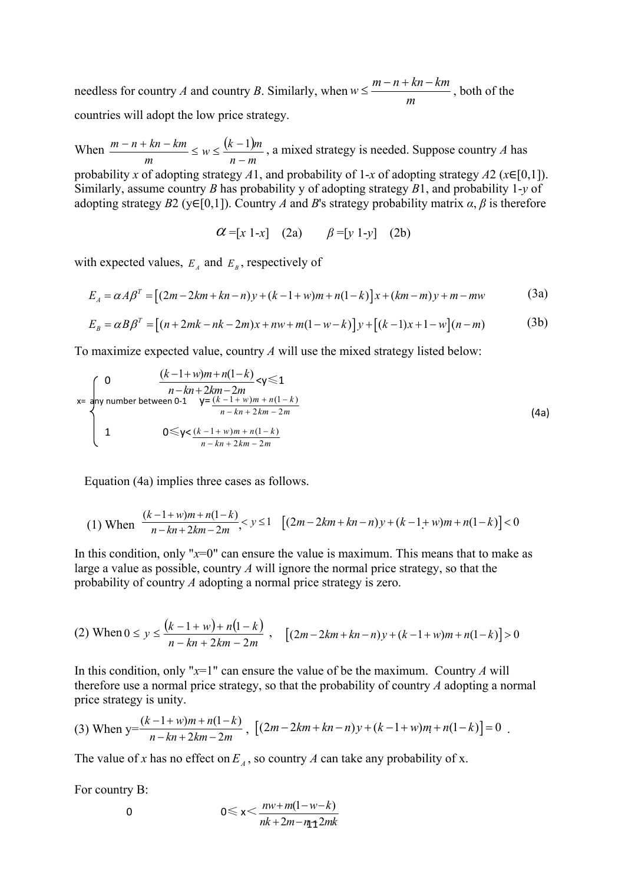needless for country *A* and country *B*. Similarly, when  $w \leq \frac{m+n+m}{m}$ , both of the countries will adopt the low price strategy. *m*  $w \leq \frac{m-n+kn-km}{m}$ 

When  $\frac{m-n+kn-km}{m} \leq w \leq \frac{(k-1)}{m}$ *n m*  $w \leq \frac{(k-1)m}{m}$ *m m n kn km*  $\overline{a}$  $\frac{n + kn - km}{n} \leq w \leq \frac{(k-1)m}{n}$ , a mixed strategy is needed. Suppose country *A* has probability *x* of adopting strategy *A*1, and probability of 1-*x* of adopting strategy *A*2 (*x*∈[0,1]). Similarly, assume country *B* has probability y of adopting strategy *B*1, and probability 1-*y* of adopting strategy *B*2 ( $y \in [0,1]$ ). Country *A* and *B*'s strategy probability matrix  $\alpha$ ,  $\beta$  is therefore

$$
\alpha = [x 1-x] \quad (2a) \qquad \beta = [y 1-y] \quad (2b)
$$

with expected values,  $E_A$  and  $E_B$ , respectively of

$$
E_A = \alpha A \beta^T = [(2m - 2km + kn - n)y + (k - 1 + w)m + n(1 - k)]x + (km - m)y + m - mw \tag{3a}
$$

$$
E_B = \alpha B \beta^T = [(n + 2mk - nk - 2m)x + nw + m(1 - w - k)]y + [(k - 1)x + 1 - w](n - m)
$$
(3b)

To maximize expected value, country *A* will use the mixed strategy listed below:

$$
x = \begin{cases}\n0 & \frac{(k-1+w)m + n(1-k)}{n-kn+2km-2m} < y \le 1 \\
\text{any number between 0-1} & y = \frac{(k-1+w)m + n(1-k)}{n-kn+2km-2m} \\
1 & 0 \le y < \frac{(k-1+w)m + n(1-k)}{n-kn+2km-2m}\n\end{cases}
$$
\n(4a)

Equation (4a) implies three cases as follows.

(1) When 
$$
\frac{(k-1+w)m+n(1-k)}{n-kn+2km-2m}, y \le 1 \quad [(2m-2km+kn-n)y+(k-1+w)m+n(1-k)] < 0
$$

In this condition, only " $x=0$ " can ensure the value is maximum. This means that to make as large a value as possible, country *A* will ignore the normal price strategy, so that the probability of country *A* adopting a normal price strategy is zero.

(2) When 
$$
0 \le y \le \frac{(k-1+w)+n(1-k)}{n-kn+2km-2m}
$$
,  $[(2m-2km+kn-n)y+(k-1+w)m+n(1-k)]>0$ 

In this condition, only " $x=1$ " can ensure the value of be the maximum. Country *A* will therefore use a normal price strategy, so that the probability of country *A* adopting a normal price strategy is unity.

(3) When 
$$
y = \frac{(k-1+w)m + n(1-k)}{n - kn + 2km - 2m}
$$
,  $[(2m-2km + kn - n)y + (k-1+w)m + n(1-k)] = 0$ .

The value of *x* has no effect on  $E_A$ , so country *A* can take any probability of *x*.

For country B:

$$
0 \leq x \leq \frac{nw + m(1 - w - k)}{nk + 2m - n\underline{\mathbf{1}} \cdot \underline{\mathbf{2}} mk}
$$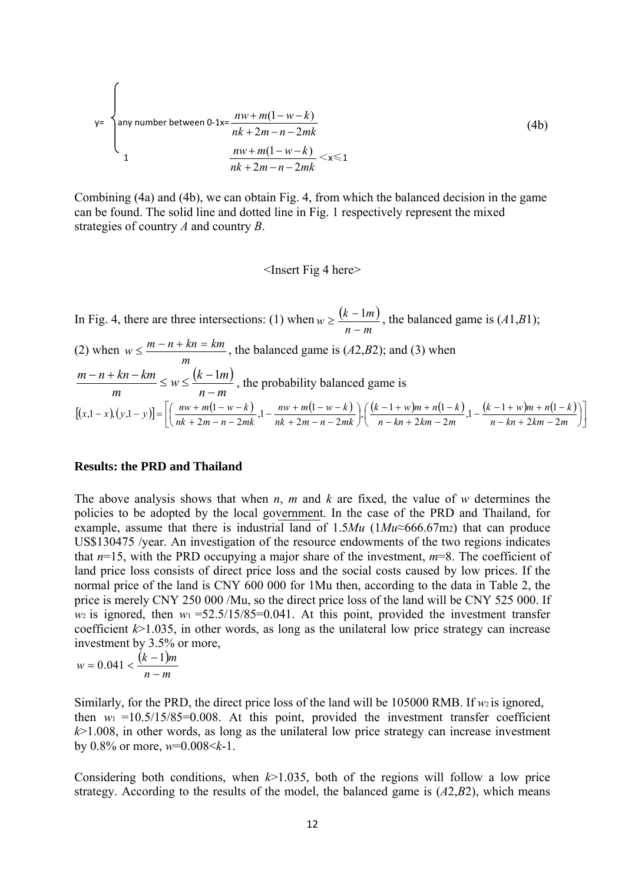$$
y = \begin{cases} \n\text{any number between } 0-1x = \frac{nw + m(1 - w - k)}{nk + 2m - n - 2mk} \\
\frac{nw + m(1 - w - k)}{nk + 2m - n - 2mk} < x \le 1\n\end{cases} \tag{4b}
$$

Combining (4a) and (4b), we can obtain Fig. 4, from which the balanced decision in the game can be found. The solid line and dotted line in Fig. 1 respectively represent the mixed strategies of country *A* and country *B*.

## <Insert Fig 4 here>

In Fig. 4, there are three intersections: (1) when  $w \geq \frac{(k-1m)}{2}$ *n m*  $w \geq \frac{(k-1m)}{n-m}$ , the balanced game is  $(A1,B1)$ ; (2) when *m*  $w \leq \frac{m-n+kn=km}{m}$ , the balanced game is (*A*2,*B*2); and (3) when , the probability balanced game is  $[(x,1-x),(y,1-y)]=\left[\left(\frac{nw+m(1-w-k)}{nk+2m-n-2mk},1-\frac{nw+m(1-w-k)}{nk+2m-n-2mk}\right),\left(\frac{(k-1+w)m+n(1-k)}{n-kn+2km-2m},1-\frac{(k-1+w)m+n(1-k)}{n-kn+2km-2m}\right)\right]$  $\left[ \left( \frac{nw + m(1 - w - k)}{nk + 2m - n - 2mk}, 1 - \frac{nw + m(1 - w - k)}{nk + 2m - n - 2mk} \right) \right] \left( \frac{(k - 1 + w)m + n(1 - k)}{n - kn + 2km - 2m}, 1 - \frac{(k - 1 + w)m + n(1 - k)}{n - kn + 2km - 2m} \right)$ ſ  $\left(\frac{nw+m(1-w-k)}{nk+2m-n-2mk},1-\frac{nw+m(1-w-k)}{nk+2m-n-2mk}\right)$ ,  $\left(\frac{(k-1+w)m+n(1-k)}{n-kn+2km-2m},1-\frac{(k-1+w)m+n(1-w)}{n-kn+2km-2m}\right)$ ſ  $\begin{bmatrix} -x \\ (y,1-y) \end{bmatrix} = \left| \left( \frac{nw + m(1 - w - k)}{nk + 2m - n - 2mk}, 1 - \frac{nw + m(1 - w - k)}{nk + 2m - n - 2mk} \right) \right| \cdot \left( \frac{(k - 1 + w)m + n(1 - k)}{n - kn + 2km - 2m}, 1 - \frac{(k - 1 + w)m + n(1 - k)}{n - kn + 2km - 2m} \right)$  $n - kn + 2km - 2m$  $k - 1 + w$ )*m* + *n*(1 – *k*)  $nk + 2m - n - 2mk$  $nw + m(1 - w - k)$  $\begin{aligned} \n\mathbf{r}_n(\mathbf{r}_n(x,1-y)) = \n\left| \left( \frac{nw + m(1-w-k)}{nk+2m-n-2mk}, 1 - \frac{nw + m(1-w-k)}{nk+2m-n-2mk} \right) \n\left( \frac{(k-1+w)m + n(1-k)}{n-kn+2km-2m}, 1 - \frac{(k-1+w)m + n(1-k)}{n-kn+2km-2m} \right) \n\end{aligned} \right|$  $(k-1m)$ *n m*  $w \leq \frac{(k-1)m}{m}$ *m m n kn km*  $\overline{a}$  $\frac{-n+kn-km}{\leq w \leq \frac{(k-1)}{k}}$ 

#### **Results: the PRD and Thailand**

The above analysis shows that when *n*, *m* and *k* are fixed, the value of *w* determines the policies to be adopted by the local government. In the case of the PRD and Thailand, for example, assume that there is industrial land of 1.5*Mu* (1*Mu*≈666.67m2) that can produce US\$130475 /year. An investigation of the resource endowments of the two regions indicates that *n*=15, with the PRD occupying a major share of the investment, *m*=8. The coefficient of land price loss consists of direct price loss and the social costs caused by low prices. If the normal price of the land is CNY 600 000 for 1Mu then, according to the data in Table 2, the price is merely CNY 250 000 /Mu, so the direct price loss of the land will be CNY 525 000. If  $w_2$  is ignored, then  $w_1 = 52.5/15/85 = 0.041$ . At this point, provided the investment transfer coefficient *k*>1.035, in other words, as long as the unilateral low price strategy can increase investment by 3.5% or more,

$$
w = 0.041 < \frac{(k-1)m}{n-m}
$$

Similarly, for the PRD, the direct price loss of the land will be 105000 RMB. If w<sub>2</sub> is ignored, then  $w_1 = 10.5/15/85 = 0.008$ . At this point, provided the investment transfer coefficient  $k > 1.008$ , in other words, as long as the unilateral low price strategy can increase investment by 0.8% or more, *w*=0.008<*k*-1.

Considering both conditions, when  $k > 1.035$ , both of the regions will follow a low price strategy. According to the results of the model, the balanced game is (*A*2,*B*2), which means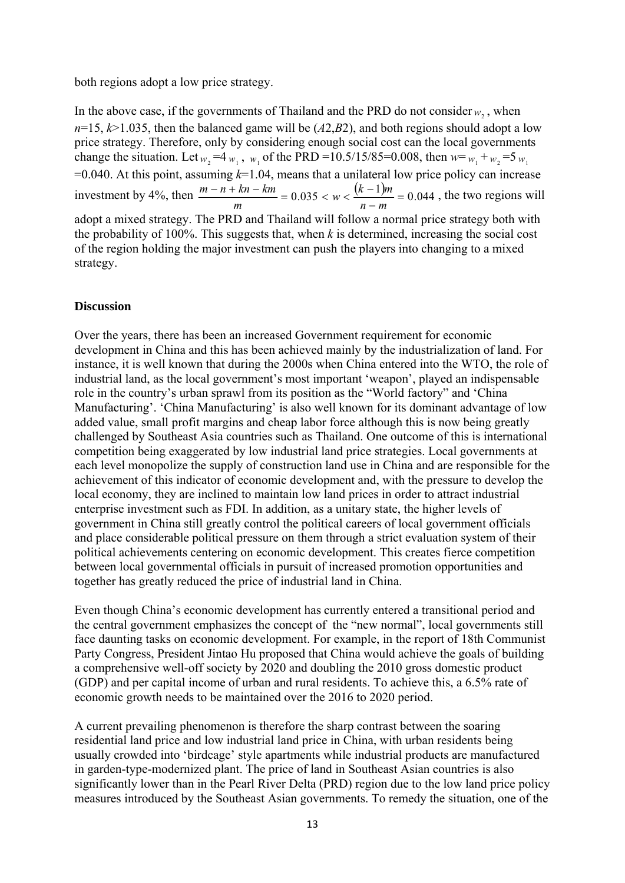both regions adopt a low price strategy.

In the above case, if the governments of Thailand and the PRD do not consider  $w_2$ , when  $n=15$ ,  $k>1.035$ , then the balanced game will be (*A*2,*B*2), and both regions should adopt a low price strategy. Therefore, only by considering enough social cost can the local governments change the situation. Let  $w_2 = 4 w_1$ ,  $w_1$  of the PRD =10.5/15/85=0.008, then  $w = w_1 + w_2 = 5 w_1$  $=0.040$ . At this point, assuming  $k=1.04$ , means that a unilateral low price policy can increase investment by 4%, then  $\frac{m-n+kn-km}{m} = 0.035 < w < \frac{(k-1)m}{n-m} = 0.044$ *n m*  $w < \frac{(k-1)m}{m}$ *m*  $\frac{m-n+kn-km}{m} = 0.035 < w < \frac{(k-1)m}{m} = 0.044$ , the two regions will adopt a mixed strategy. The PRD and Thailand will follow a normal price strategy both with the probability of 100%. This suggests that, when *k* is determined, increasing the social cost of the region holding the major investment can push the players into changing to a mixed strategy.

## **Discussion**

Over the years, there has been an increased Government requirement for economic development in China and this has been achieved mainly by the industrialization of land. For instance, it is well known that during the 2000s when China entered into the WTO, the role of industrial land, as the local government's most important 'weapon', played an indispensable role in the country's urban sprawl from its position as the "World factory" and 'China Manufacturing'. 'China Manufacturing' is also well known for its dominant advantage of low added value, small profit margins and cheap labor force although this is now being greatly challenged by Southeast Asia countries such as Thailand. One outcome of this is international competition being exaggerated by low industrial land price strategies. Local governments at each level monopolize the supply of construction land use in China and are responsible for the achievement of this indicator of economic development and, with the pressure to develop the local economy, they are inclined to maintain low land prices in order to attract industrial enterprise investment such as FDI. In addition, as a unitary state, the higher levels of government in China still greatly control the political careers of local government officials and place considerable political pressure on them through a strict evaluation system of their political achievements centering on economic development. This creates fierce competition between local governmental officials in pursuit of increased promotion opportunities and together has greatly reduced the price of industrial land in China.

Even though China's economic development has currently entered a transitional period and the central government emphasizes the concept of the "new normal", local governments still face daunting tasks on economic development. For example, in the report of 18th Communist Party Congress, President Jintao Hu proposed that China would achieve the goals of building a comprehensive well-off society by 2020 and doubling the 2010 gross domestic product (GDP) and per capital income of urban and rural residents. To achieve this, a 6.5% rate of economic growth needs to be maintained over the 2016 to 2020 period.

A current prevailing phenomenon is therefore the sharp contrast between the soaring residential land price and low industrial land price in China, with urban residents being usually crowded into 'birdcage' style apartments while industrial products are manufactured in garden-type-modernized plant. The price of land in Southeast Asian countries is also significantly lower than in the Pearl River Delta (PRD) region due to the low land price policy measures introduced by the Southeast Asian governments. To remedy the situation, one of the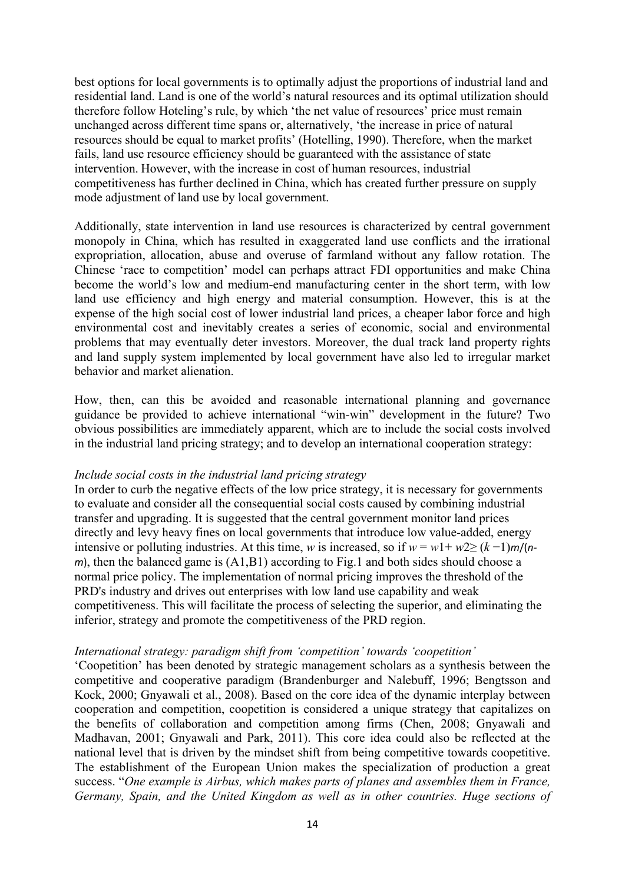best options for local governments is to optimally adjust the proportions of industrial land and residential land. Land is one of the world's natural resources and its optimal utilization should therefore follow Hoteling's rule, by which 'the net value of resources' price must remain unchanged across different time spans or, alternatively, 'the increase in price of natural resources should be equal to market profits' (Hotelling, 1990). Therefore, when the market fails, land use resource efficiency should be guaranteed with the assistance of state intervention. However, with the increase in cost of human resources, industrial competitiveness has further declined in China, which has created further pressure on supply mode adjustment of land use by local government.

Additionally, state intervention in land use resources is characterized by central government monopoly in China, which has resulted in exaggerated land use conflicts and the irrational expropriation, allocation, abuse and overuse of farmland without any fallow rotation. The Chinese 'race to competition' model can perhaps attract FDI opportunities and make China become the world's low and medium-end manufacturing center in the short term, with low land use efficiency and high energy and material consumption. However, this is at the expense of the high social cost of lower industrial land prices, a cheaper labor force and high environmental cost and inevitably creates a series of economic, social and environmental problems that may eventually deter investors. Moreover, the dual track land property rights and land supply system implemented by local government have also led to irregular market behavior and market alienation.

How, then, can this be avoided and reasonable international planning and governance guidance be provided to achieve international "win-win" development in the future? Two obvious possibilities are immediately apparent, which are to include the social costs involved in the industrial land pricing strategy; and to develop an international cooperation strategy:

#### *Include social costs in the industrial land pricing strategy*

In order to curb the negative effects of the low price strategy, it is necessary for governments to evaluate and consider all the consequential social costs caused by combining industrial transfer and upgrading. It is suggested that the central government monitor land prices directly and levy heavy fines on local governments that introduce low value-added, energy intensive or polluting industries. At this time, *w* is increased, so if  $w = w1 + w2 > (k-1)m/(n-1)$ *m*), then the balanced game is  $(A1,B1)$  according to Fig.1 and both sides should choose a normal price policy. The implementation of normal pricing improves the threshold of the PRD's industry and drives out enterprises with low land use capability and weak competitiveness. This will facilitate the process of selecting the superior, and eliminating the inferior, strategy and promote the competitiveness of the PRD region.

#### *International strategy: paradigm shift from 'competition' towards 'coopetition'*

'Coopetition' has been denoted by strategic management scholars as a synthesis between the competitive and cooperative paradigm (Brandenburger and Nalebuff, 1996; Bengtsson and Kock, 2000; Gnyawali et al., 2008). Based on the core idea of the dynamic interplay between cooperation and competition, coopetition is considered a unique strategy that capitalizes on the benefits of collaboration and competition among firms (Chen, 2008; Gnyawali and Madhavan, 2001; Gnyawali and Park, 2011). This core idea could also be reflected at the national level that is driven by the mindset shift from being competitive towards coopetitive. The establishment of the European Union makes the specialization of production a great success. "*One example is Airbus, which makes parts of planes and assembles them in France, Germany, Spain, and the United Kingdom as well as in other countries. Huge sections of*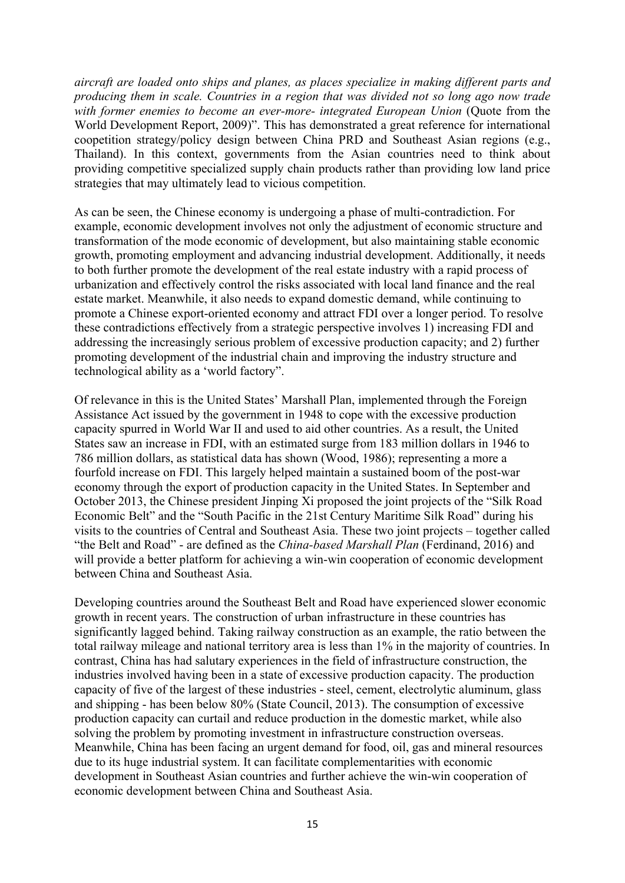*aircraft are loaded onto ships and planes, as places specialize in making different parts and producing them in scale. Countries in a region that was divided not so long ago now trade with former enemies to become an ever-more- integrated European Union* (Quote from the World Development Report, 2009)". This has demonstrated a great reference for international coopetition strategy/policy design between China PRD and Southeast Asian regions (e.g., Thailand). In this context, governments from the Asian countries need to think about providing competitive specialized supply chain products rather than providing low land price strategies that may ultimately lead to vicious competition.

As can be seen, the Chinese economy is undergoing a phase of multi-contradiction. For example, economic development involves not only the adjustment of economic structure and transformation of the mode economic of development, but also maintaining stable economic growth, promoting employment and advancing industrial development. Additionally, it needs to both further promote the development of the real estate industry with a rapid process of urbanization and effectively control the risks associated with local land finance and the real estate market. Meanwhile, it also needs to expand domestic demand, while continuing to promote a Chinese export-oriented economy and attract FDI over a longer period. To resolve these contradictions effectively from a strategic perspective involves 1) increasing FDI and addressing the increasingly serious problem of excessive production capacity; and 2) further promoting development of the industrial chain and improving the industry structure and technological ability as a 'world factory".

Of relevance in this is the United States' Marshall Plan, implemented through the Foreign Assistance Act issued by the government in 1948 to cope with the excessive production capacity spurred in World War II and used to aid other countries. As a result, the United States saw an increase in FDI, with an estimated surge from 183 million dollars in 1946 to 786 million dollars, as statistical data has shown (Wood, 1986); representing a more a fourfold increase on FDI. This largely helped maintain a sustained boom of the post-war economy through the export of production capacity in the United States. In September and October 2013, the Chinese president Jinping Xi proposed the joint projects of the "Silk Road Economic Belt" and the "South Pacific in the 21st Century Maritime Silk Road" during his visits to the countries of Central and Southeast Asia. These two joint projects – together called "the Belt and Road" - are defined as the *China-based Marshall Plan* (Ferdinand, 2016) and will provide a better platform for achieving a win-win cooperation of economic development between China and Southeast Asia.

Developing countries around the Southeast Belt and Road have experienced slower economic growth in recent years. The construction of urban infrastructure in these countries has significantly lagged behind. Taking railway construction as an example, the ratio between the total railway mileage and national territory area is less than 1% in the majority of countries. In contrast, China has had salutary experiences in the field of infrastructure construction, the industries involved having been in a state of excessive production capacity. The production capacity of five of the largest of these industries - steel, cement, electrolytic aluminum, glass and shipping - has been below 80% (State Council, 2013). The consumption of excessive production capacity can curtail and reduce production in the domestic market, while also solving the problem by promoting investment in infrastructure construction overseas. Meanwhile, China has been facing an urgent demand for food, oil, gas and mineral resources due to its huge industrial system. It can facilitate complementarities with economic development in Southeast Asian countries and further achieve the win-win cooperation of economic development between China and Southeast Asia.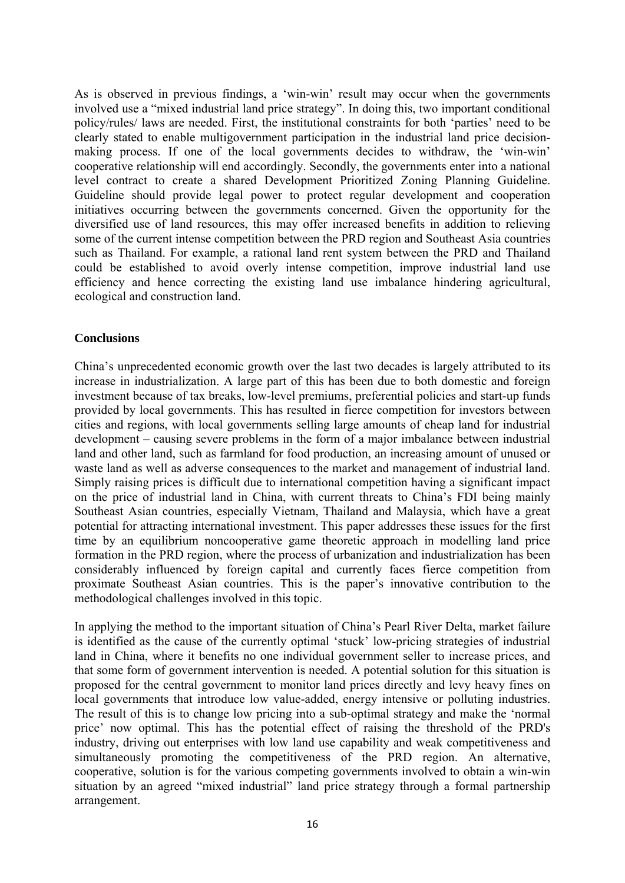As is observed in previous findings, a 'win-win' result may occur when the governments involved use a "mixed industrial land price strategy". In doing this, two important conditional policy/rules/ laws are needed. First, the institutional constraints for both 'parties' need to be clearly stated to enable multigovernment participation in the industrial land price decisionmaking process. If one of the local governments decides to withdraw, the 'win-win' cooperative relationship will end accordingly. Secondly, the governments enter into a national level contract to create a shared Development Prioritized Zoning Planning Guideline. Guideline should provide legal power to protect regular development and cooperation initiatives occurring between the governments concerned. Given the opportunity for the diversified use of land resources, this may offer increased benefits in addition to relieving some of the current intense competition between the PRD region and Southeast Asia countries such as Thailand. For example, a rational land rent system between the PRD and Thailand could be established to avoid overly intense competition, improve industrial land use efficiency and hence correcting the existing land use imbalance hindering agricultural, ecological and construction land.

## **Conclusions**

China's unprecedented economic growth over the last two decades is largely attributed to its increase in industrialization. A large part of this has been due to both domestic and foreign investment because of tax breaks, low-level premiums, preferential policies and start-up funds provided by local governments. This has resulted in fierce competition for investors between cities and regions, with local governments selling large amounts of cheap land for industrial development – causing severe problems in the form of a major imbalance between industrial land and other land, such as farmland for food production, an increasing amount of unused or waste land as well as adverse consequences to the market and management of industrial land. Simply raising prices is difficult due to international competition having a significant impact on the price of industrial land in China, with current threats to China's FDI being mainly Southeast Asian countries, especially Vietnam, Thailand and Malaysia, which have a great potential for attracting international investment. This paper addresses these issues for the first time by an equilibrium noncooperative game theoretic approach in modelling land price formation in the PRD region, where the process of urbanization and industrialization has been considerably influenced by foreign capital and currently faces fierce competition from proximate Southeast Asian countries. This is the paper's innovative contribution to the methodological challenges involved in this topic.

In applying the method to the important situation of China's Pearl River Delta, market failure is identified as the cause of the currently optimal 'stuck' low-pricing strategies of industrial land in China, where it benefits no one individual government seller to increase prices, and that some form of government intervention is needed. A potential solution for this situation is proposed for the central government to monitor land prices directly and levy heavy fines on local governments that introduce low value-added, energy intensive or polluting industries. The result of this is to change low pricing into a sub-optimal strategy and make the 'normal price' now optimal. This has the potential effect of raising the threshold of the PRD's industry, driving out enterprises with low land use capability and weak competitiveness and simultaneously promoting the competitiveness of the PRD region. An alternative, cooperative, solution is for the various competing governments involved to obtain a win-win situation by an agreed "mixed industrial" land price strategy through a formal partnership arrangement.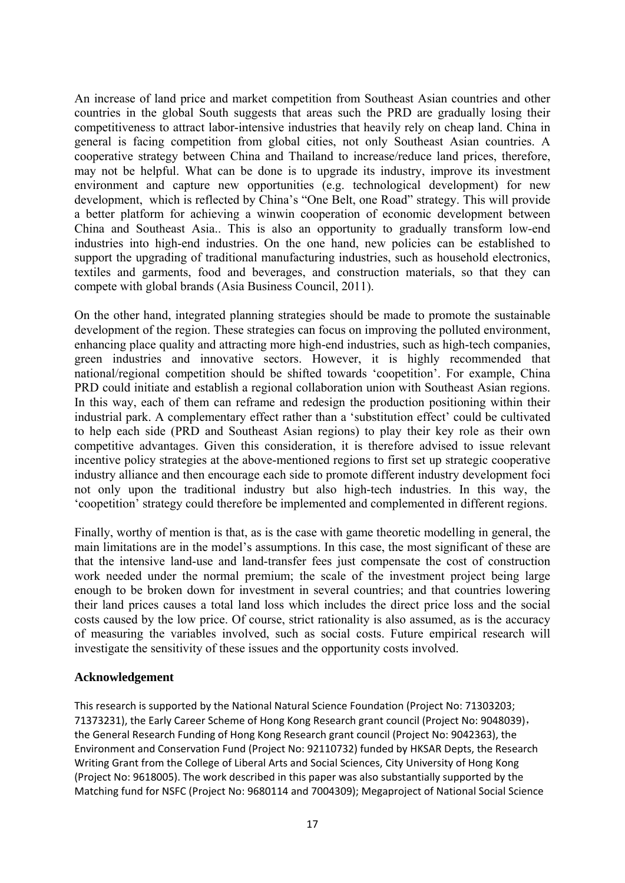An increase of land price and market competition from Southeast Asian countries and other countries in the global South suggests that areas such the PRD are gradually losing their competitiveness to attract labor-intensive industries that heavily rely on cheap land. China in general is facing competition from global cities, not only Southeast Asian countries. A cooperative strategy between China and Thailand to increase/reduce land prices, therefore, may not be helpful. What can be done is to upgrade its industry, improve its investment environment and capture new opportunities (e.g. technological development) for new development, which is reflected by China's "One Belt, one Road" strategy. This will provide a better platform for achieving a winwin cooperation of economic development between China and Southeast Asia.. This is also an opportunity to gradually transform low-end industries into high-end industries. On the one hand, new policies can be established to support the upgrading of traditional manufacturing industries, such as household electronics, textiles and garments, food and beverages, and construction materials, so that they can compete with global brands (Asia Business Council, 2011).

On the other hand, integrated planning strategies should be made to promote the sustainable development of the region. These strategies can focus on improving the polluted environment, enhancing place quality and attracting more high-end industries, such as high-tech companies, green industries and innovative sectors. However, it is highly recommended that national/regional competition should be shifted towards 'coopetition'. For example, China PRD could initiate and establish a regional collaboration union with Southeast Asian regions. In this way, each of them can reframe and redesign the production positioning within their industrial park. A complementary effect rather than a 'substitution effect' could be cultivated to help each side (PRD and Southeast Asian regions) to play their key role as their own competitive advantages. Given this consideration, it is therefore advised to issue relevant incentive policy strategies at the above-mentioned regions to first set up strategic cooperative industry alliance and then encourage each side to promote different industry development foci not only upon the traditional industry but also high-tech industries. In this way, the 'coopetition' strategy could therefore be implemented and complemented in different regions.

Finally, worthy of mention is that, as is the case with game theoretic modelling in general, the main limitations are in the model's assumptions. In this case, the most significant of these are that the intensive land-use and land-transfer fees just compensate the cost of construction work needed under the normal premium; the scale of the investment project being large enough to be broken down for investment in several countries; and that countries lowering their land prices causes a total land loss which includes the direct price loss and the social costs caused by the low price. Of course, strict rationality is also assumed, as is the accuracy of measuring the variables involved, such as social costs. Future empirical research will investigate the sensitivity of these issues and the opportunity costs involved.

# **Acknowledgement**

This research is supported by the National Natural Science Foundation (Project No: 71303203; 71373231), the Early Career Scheme of Hong Kong Research grant council (Project No: 9048039), the General Research Funding of Hong Kong Research grant council (Project No: 9042363), the Environment and Conservation Fund (Project No: 92110732) funded by HKSAR Depts, the Research Writing Grant from the College of Liberal Arts and Social Sciences, City University of Hong Kong (Project No: 9618005). The work described in this paper was also substantially supported by the Matching fund for NSFC (Project No: 9680114 and 7004309); Megaproject of National Social Science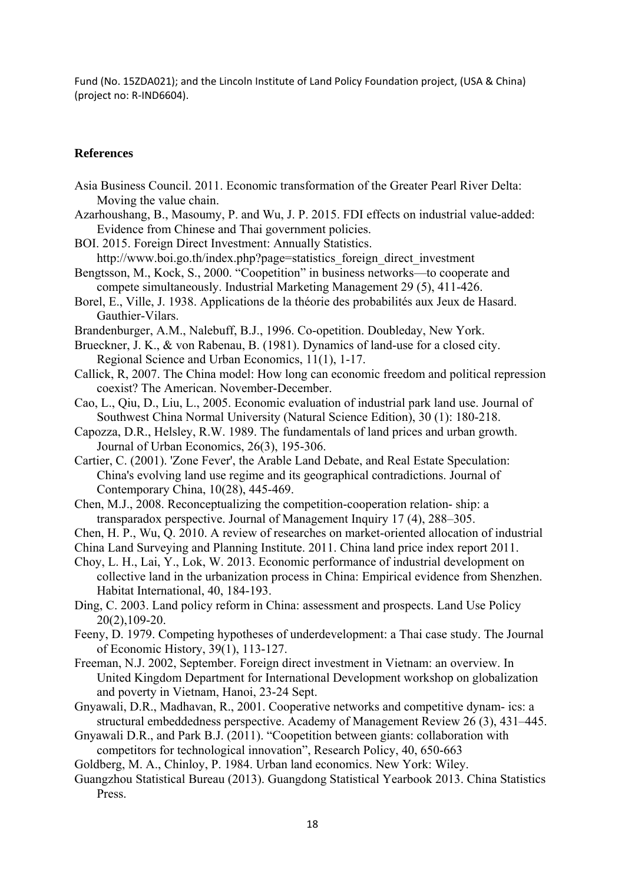Fund (No. 15ZDA021); and the Lincoln Institute of Land Policy Foundation project, (USA & China) (project no: R‐IND6604).

## **References**

- Asia Business Council. 2011. Economic transformation of the Greater Pearl River Delta: Moving the value chain.
- Azarhoushang, B., Masoumy, P. and Wu, J. P. 2015. FDI effects on industrial value-added: Evidence from Chinese and Thai government policies.
- BOI. 2015. Foreign Direct Investment: Annually Statistics. http://www.boi.go.th/index.php?page=statistics\_foreign\_direct\_investment
- Bengtsson, M., Kock, S., 2000. "Coopetition" in business networks—to cooperate and compete simultaneously. Industrial Marketing Management 29 (5), 411-426.
- Borel, E., Ville, J. 1938. Applications de la théorie des probabilités aux Jeux de Hasard. Gauthier-Vilars.
- Brandenburger, A.M., Nalebuff, B.J., 1996. Co-opetition. Doubleday, New York.
- Brueckner, J. K., & von Rabenau, B. (1981). Dynamics of land-use for a closed city. Regional Science and Urban Economics, 11(1), 1-17.
- Callick, R, 2007. The China model: How long can economic freedom and political repression coexist? The American. November-December.
- Cao, L., Qiu, D., Liu, L., 2005. Economic evaluation of industrial park land use. Journal of Southwest China Normal University (Natural Science Edition), 30 (1): 180-218.
- Capozza, D.R., Helsley, R.W. 1989. The fundamentals of land prices and urban growth. Journal of Urban Economics, 26(3), 195-306.
- Cartier, C. (2001). 'Zone Fever', the Arable Land Debate, and Real Estate Speculation: China's evolving land use regime and its geographical contradictions. Journal of Contemporary China, 10(28), 445-469.
- Chen, M.J., 2008. Reconceptualizing the competition-cooperation relation- ship: a transparadox perspective. Journal of Management Inquiry 17 (4), 288–305.
- Chen, H. P., Wu, Q. 2010. A review of researches on market-oriented allocation of industrial
- China Land Surveying and Planning Institute. 2011. China land price index report 2011.
- Choy, L. H., Lai, Y., Lok, W. 2013. Economic performance of industrial development on collective land in the urbanization process in China: Empirical evidence from Shenzhen. Habitat International, 40, 184-193.
- Ding, C. 2003. Land policy reform in China: assessment and prospects. Land Use Policy 20(2),109-20.
- Feeny, D. 1979. Competing hypotheses of underdevelopment: a Thai case study. The Journal of Economic History, 39(1), 113-127.
- Freeman, N.J. 2002, September. Foreign direct investment in Vietnam: an overview. In United Kingdom Department for International Development workshop on globalization and poverty in Vietnam, Hanoi, 23-24 Sept.
- Gnyawali, D.R., Madhavan, R., 2001. Cooperative networks and competitive dynam- ics: a structural embeddedness perspective. Academy of Management Review 26 (3), 431–445.
- Gnyawali D.R., and Park B.J. (2011). "Coopetition between giants: collaboration with competitors for technological innovation", Research Policy, 40, 650-663
- Goldberg, M. A., Chinloy, P. 1984. Urban land economics. New York: Wiley.
- Guangzhou Statistical Bureau (2013). Guangdong Statistical Yearbook 2013. China Statistics Press.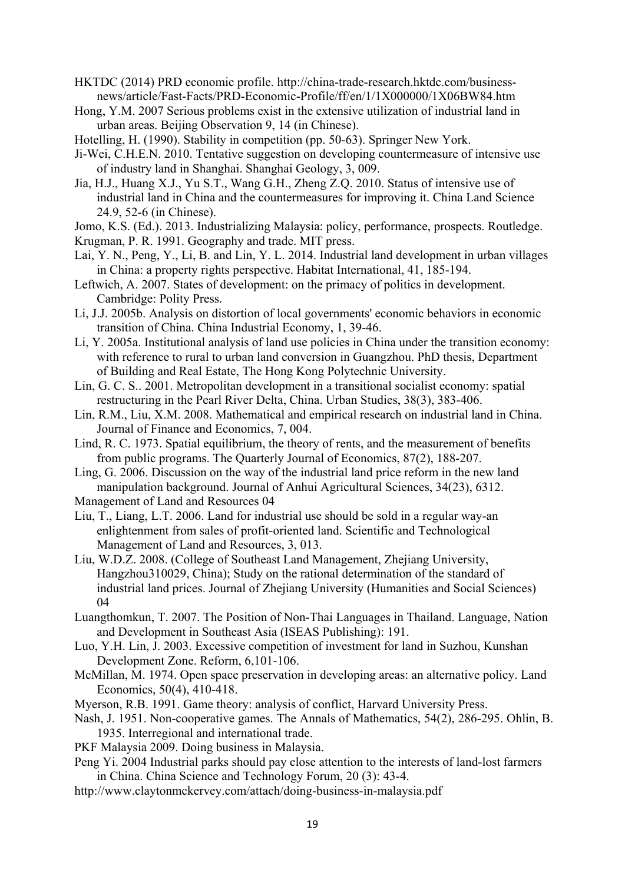HKTDC (2014) PRD economic profile. http://china-trade-research.hktdc.com/businessnews/article/Fast-Facts/PRD-Economic-Profile/ff/en/1/1X000000/1X06BW84.htm

Hong, Y.M. 2007 Serious problems exist in the extensive utilization of industrial land in urban areas. Beijing Observation 9, 14 (in Chinese).

Hotelling, H. (1990). Stability in competition (pp. 50-63). Springer New York.

Ji-Wei, C.H.E.N. 2010. Tentative suggestion on developing countermeasure of intensive use of industry land in Shanghai. Shanghai Geology, 3, 009.

- Jia, H.J., Huang X.J., Yu S.T., Wang G.H., Zheng Z.Q. 2010. Status of intensive use of industrial land in China and the countermeasures for improving it. China Land Science 24.9, 52-6 (in Chinese).
- Jomo, K.S. (Ed.). 2013. Industrializing Malaysia: policy, performance, prospects. Routledge.
- Krugman, P. R. 1991. Geography and trade. MIT press.
- Lai, Y. N., Peng, Y., Li, B. and Lin, Y. L. 2014. Industrial land development in urban villages in China: a property rights perspective. Habitat International, 41, 185-194.
- Leftwich, A. 2007. States of development: on the primacy of politics in development. Cambridge: Polity Press.
- Li, J.J. 2005b. Analysis on distortion of local governments' economic behaviors in economic transition of China. China Industrial Economy, 1, 39-46.
- Li, Y. 2005a. Institutional analysis of land use policies in China under the transition economy: with reference to rural to urban land conversion in Guangzhou. PhD thesis, Department of Building and Real Estate, The Hong Kong Polytechnic University.
- Lin, G. C. S.. 2001. Metropolitan development in a transitional socialist economy: spatial restructuring in the Pearl River Delta, China. Urban Studies, 38(3), 383-406.
- Lin, R.M., Liu, X.M. 2008. Mathematical and empirical research on industrial land in China. Journal of Finance and Economics, 7, 004.
- Lind, R. C. 1973. Spatial equilibrium, the theory of rents, and the measurement of benefits from public programs. The Quarterly Journal of Economics, 87(2), 188-207.
- Ling, G. 2006. Discussion on the way of the industrial land price reform in the new land manipulation background. Journal of Anhui Agricultural Sciences, 34(23), 6312.
- Management of Land and Resources 04
- Liu, T., Liang, L.T. 2006. Land for industrial use should be sold in a regular way-an enlightenment from sales of profit-oriented land. Scientific and Technological Management of Land and Resources, 3, 013.
- Liu, W.D.Z. 2008. (College of Southeast Land Management, Zhejiang University, Hangzhou310029, China); Study on the rational determination of the standard of industrial land prices. Journal of Zhejiang University (Humanities and Social Sciences) 04
- Luangthomkun, T. 2007. The Position of Non-Thai Languages in Thailand. Language, Nation and Development in Southeast Asia (ISEAS Publishing): 191.
- Luo, Y.H. Lin, J. 2003. Excessive competition of investment for land in Suzhou, Kunshan Development Zone. Reform, 6,101-106.
- McMillan, M. 1974. Open space preservation in developing areas: an alternative policy. Land Economics, 50(4), 410-418.
- Myerson, R.B. 1991. Game theory: analysis of conflict, Harvard University Press.
- Nash, J. 1951. Non-cooperative games. The Annals of Mathematics, 54(2), 286-295. Ohlin, B. 1935. Interregional and international trade.
- PKF Malaysia 2009. Doing business in Malaysia.
- Peng Yi. 2004 Industrial parks should pay close attention to the interests of land-lost farmers in China. China Science and Technology Forum, 20 (3): 43-4.
- http://www.claytonmckervey.com/attach/doing-business-in-malaysia.pdf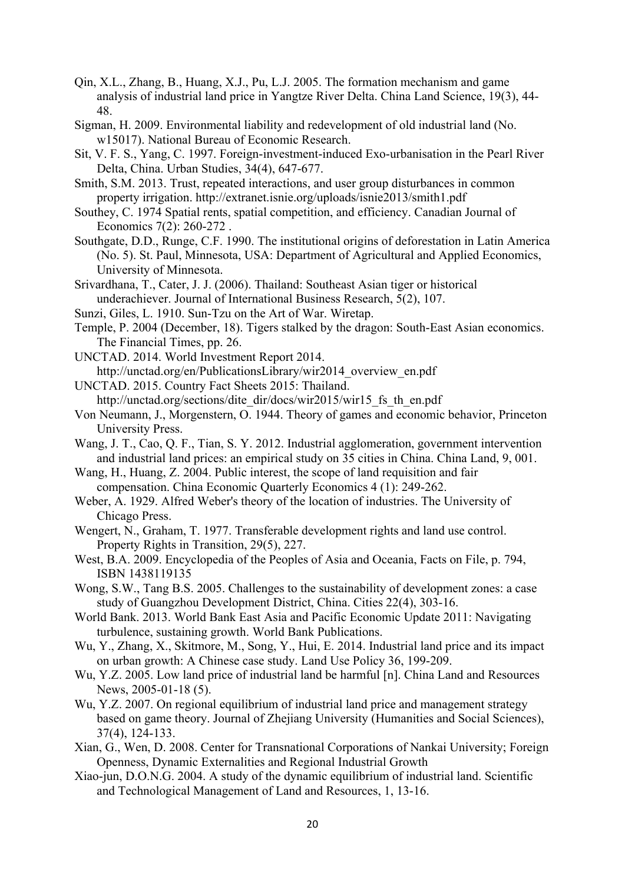- Qin, X.L., Zhang, B., Huang, X.J., Pu, L.J. 2005. The formation mechanism and game analysis of industrial land price in Yangtze River Delta. China Land Science, 19(3), 44- 48.
- Sigman, H. 2009. Environmental liability and redevelopment of old industrial land (No. w15017). National Bureau of Economic Research.
- Sit, V. F. S., Yang, C. 1997. Foreign-investment-induced Exo-urbanisation in the Pearl River Delta, China. Urban Studies, 34(4), 647-677.
- Smith, S.M. 2013. Trust, repeated interactions, and user group disturbances in common property irrigation. http://extranet.isnie.org/uploads/isnie2013/smith1.pdf
- Southey, C. 1974 Spatial rents, spatial competition, and efficiency. Canadian Journal of Economics 7(2): 260-272 .
- Southgate, D.D., Runge, C.F. 1990. The institutional origins of deforestation in Latin America (No. 5). St. Paul, Minnesota, USA: Department of Agricultural and Applied Economics, University of Minnesota.
- Srivardhana, T., Cater, J. J. (2006). Thailand: Southeast Asian tiger or historical underachiever. Journal of International Business Research, 5(2), 107.
- Sunzi, Giles, L. 1910. Sun-Tzu on the Art of War. Wiretap.
- Temple, P. 2004 (December, 18). Tigers stalked by the dragon: South-East Asian economics. The Financial Times, pp. 26.
- UNCTAD. 2014. World Investment Report 2014.
- http://unctad.org/en/PublicationsLibrary/wir2014\_overview\_en.pdf
- UNCTAD. 2015. Country Fact Sheets 2015: Thailand.
- http://unctad.org/sections/dite\_dir/docs/wir2015/wir15\_fs\_th\_en.pdf
- Von Neumann, J., Morgenstern, O. 1944. Theory of games and economic behavior, Princeton University Press.
- Wang, J. T., Cao, O. F., Tian, S. Y. 2012. Industrial agglomeration, government intervention and industrial land prices: an empirical study on 35 cities in China. China Land, 9, 001.
- Wang, H., Huang, Z. 2004. Public interest, the scope of land requisition and fair compensation. China Economic Quarterly Economics 4 (1): 249-262.
- Weber, A. 1929. Alfred Weber's theory of the location of industries. The University of Chicago Press.
- Wengert, N., Graham, T. 1977. Transferable development rights and land use control. Property Rights in Transition, 29(5), 227.
- West, B.A. 2009. Encyclopedia of the Peoples of Asia and Oceania, Facts on File, p. 794, ISBN 1438119135
- Wong, S.W., Tang B.S. 2005. Challenges to the sustainability of development zones: a case study of Guangzhou Development District, China. Cities 22(4), 303-16.
- World Bank. 2013. World Bank East Asia and Pacific Economic Update 2011: Navigating turbulence, sustaining growth. World Bank Publications.
- Wu, Y., Zhang, X., Skitmore, M., Song, Y., Hui, E. 2014. Industrial land price and its impact on urban growth: A Chinese case study. Land Use Policy 36, 199-209.
- Wu, Y.Z. 2005. Low land price of industrial land be harmful [n]. China Land and Resources News, 2005-01-18 (5).
- Wu, Y.Z. 2007. On regional equilibrium of industrial land price and management strategy based on game theory. Journal of Zhejiang University (Humanities and Social Sciences), 37(4), 124-133.
- Xian, G., Wen, D. 2008. Center for Transnational Corporations of Nankai University; Foreign Openness, Dynamic Externalities and Regional Industrial Growth
- Xiao-jun, D.O.N.G. 2004. A study of the dynamic equilibrium of industrial land. Scientific and Technological Management of Land and Resources, 1, 13-16.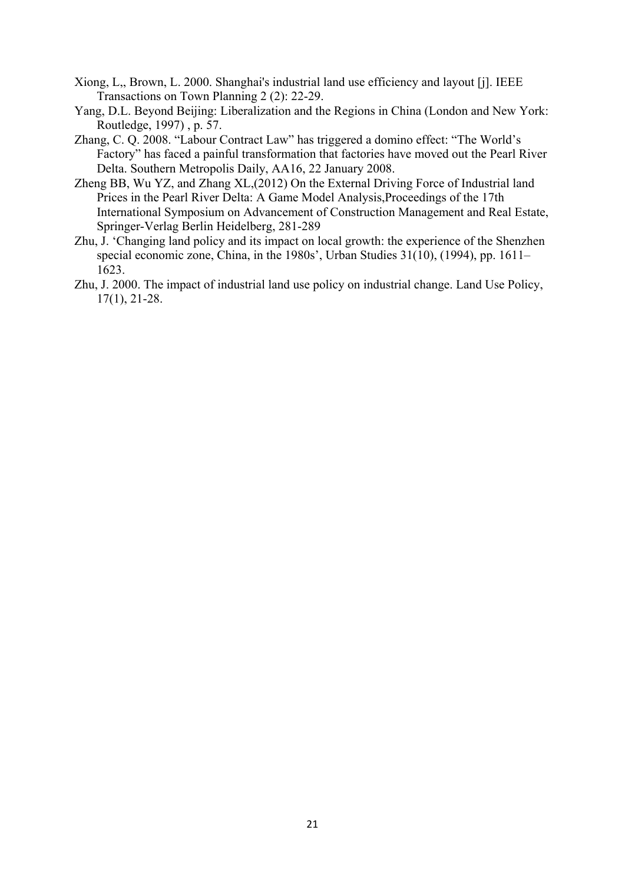- Xiong, L,, Brown, L. 2000. Shanghai's industrial land use efficiency and layout [j]. IEEE Transactions on Town Planning 2 (2): 22-29.
- Yang, D.L. Beyond Beijing: Liberalization and the Regions in China (London and New York: Routledge, 1997) , p. 57.
- Zhang, C. Q. 2008. "Labour Contract Law" has triggered a domino effect: "The World's Factory" has faced a painful transformation that factories have moved out the Pearl River Delta. Southern Metropolis Daily, AA16, 22 January 2008.
- Zheng BB, Wu YZ, and Zhang XL,(2012) On the External Driving Force of Industrial land Prices in the Pearl River Delta: A Game Model Analysis,Proceedings of the 17th International Symposium on Advancement of Construction Management and Real Estate, Springer-Verlag Berlin Heidelberg, 281-289
- Zhu, J. 'Changing land policy and its impact on local growth: the experience of the Shenzhen special economic zone, China, in the 1980s', Urban Studies 31(10), (1994), pp. 1611– 1623.
- Zhu, J. 2000. The impact of industrial land use policy on industrial change. Land Use Policy, 17(1), 21-28.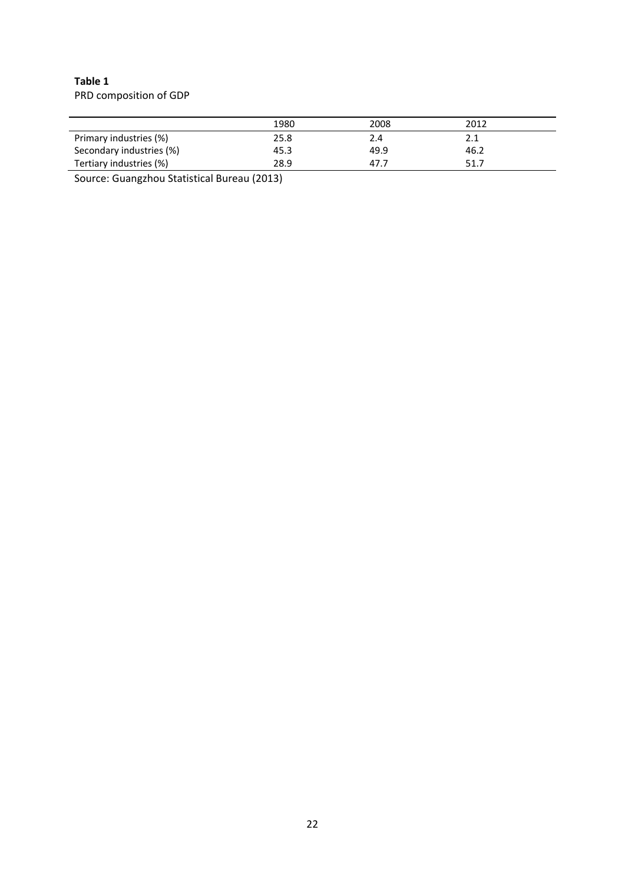## **Table 1** PRD composition of GDP

|                          | 1980 | 2008 | 2012 |  |
|--------------------------|------|------|------|--|
| Primary industries (%)   | 25.8 |      | 2.1  |  |
| Secondary industries (%) | 45.3 | 49.9 | 46.2 |  |
| Tertiary industries (%)  | 28.9 | 47.7 | 51.7 |  |

Source: Guangzhou Statistical Bureau (2013)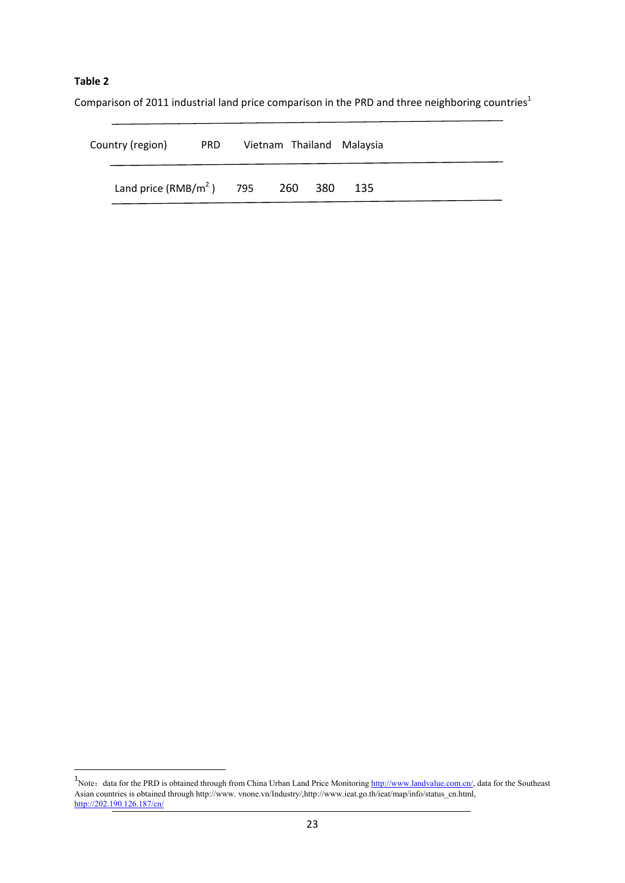# **Table 2**

Comparison of 2011 industrial land price comparison in the PRD and three neighboring countries<sup>1</sup>

| Country (region)                   | PRD. |  | Vietnam Thailand Malaysia |  |
|------------------------------------|------|--|---------------------------|--|
| Land price $(RMB/m^2)$ 795 260 380 |      |  | -135                      |  |

<sup>&</sup>lt;sup>1</sup><br>Note: data for the PRD is obtained through from China Urban Land Price Monitoring http://www.landvalue.com.cn/, data for the Southeast Asian countries is obtained through http://www. vnone.vn/Industry/,http://www.ieat.go.th/ieat/map/info/status\_cn.html, http://202.190.126.187/cn/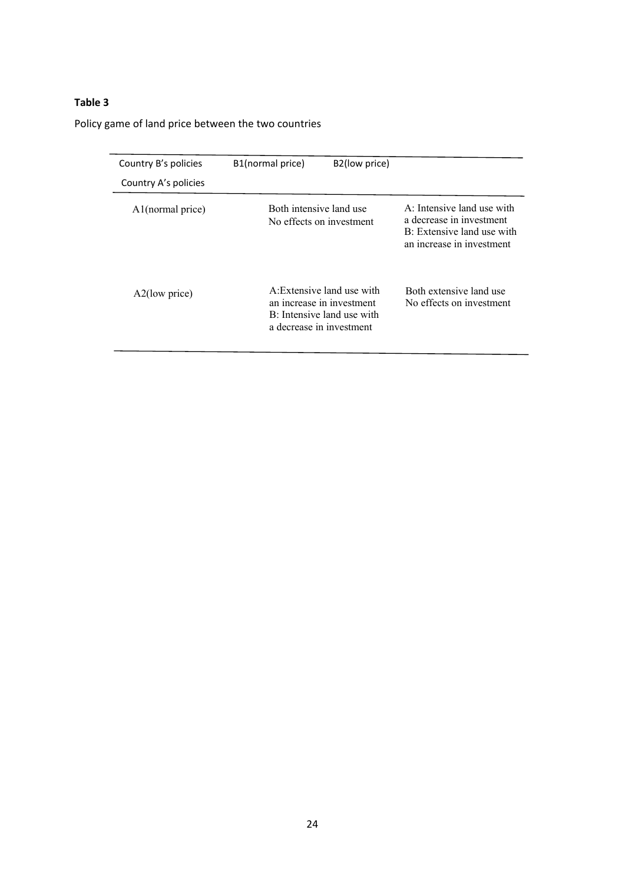# **Table 3**

Policy game of land price between the two countries

| Country B's policies | B1(normal price)                                    | B2(low price)                                                                                                            |                                                     |
|----------------------|-----------------------------------------------------|--------------------------------------------------------------------------------------------------------------------------|-----------------------------------------------------|
| Country A's policies |                                                     |                                                                                                                          |                                                     |
| A1(normal price)     | Both intensive land use<br>No effects on investment | $A \cdot$ Intensive land use with<br>a decrease in investment<br>B: Extensive land use with<br>an increase in investment |                                                     |
| $A2$ (low price)     |                                                     | A Extensive land use with<br>an increase in investment<br>B: Intensive land use with<br>a decrease in investment         | Both extensive land use<br>No effects on investment |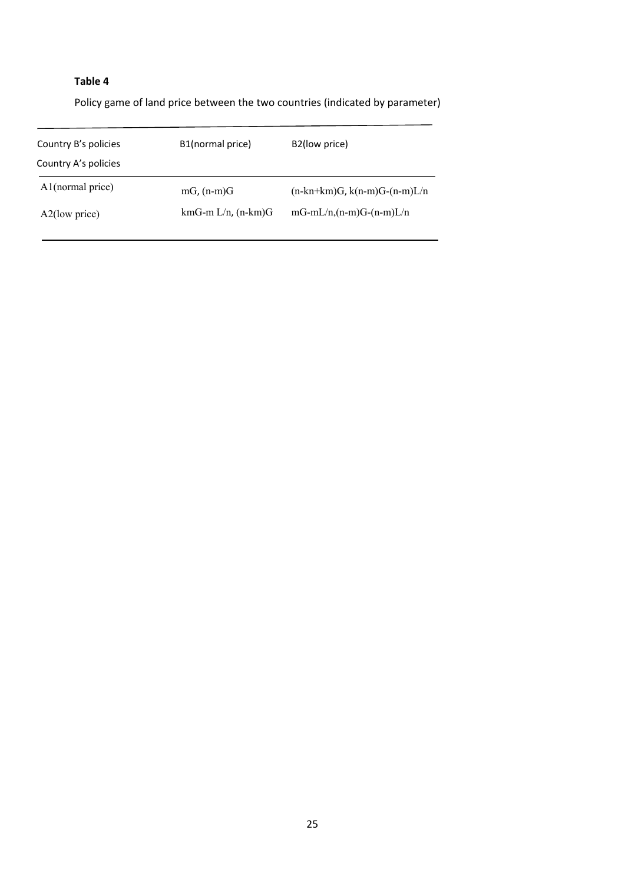# **Table 4**

Policy game of land price between the two countries (indicated by parameter)

| B1(normal price)         | B2(low price)                     |
|--------------------------|-----------------------------------|
| $mG$ , $(n-m)G$          | $(n-kn+km)G$ , $k(n-m)G-(n-m)L/n$ |
| $kmG$ -m L/n, (n-km) $G$ | mG-mL/n,(n-m)G-(n-m)L/n           |
|                          |                                   |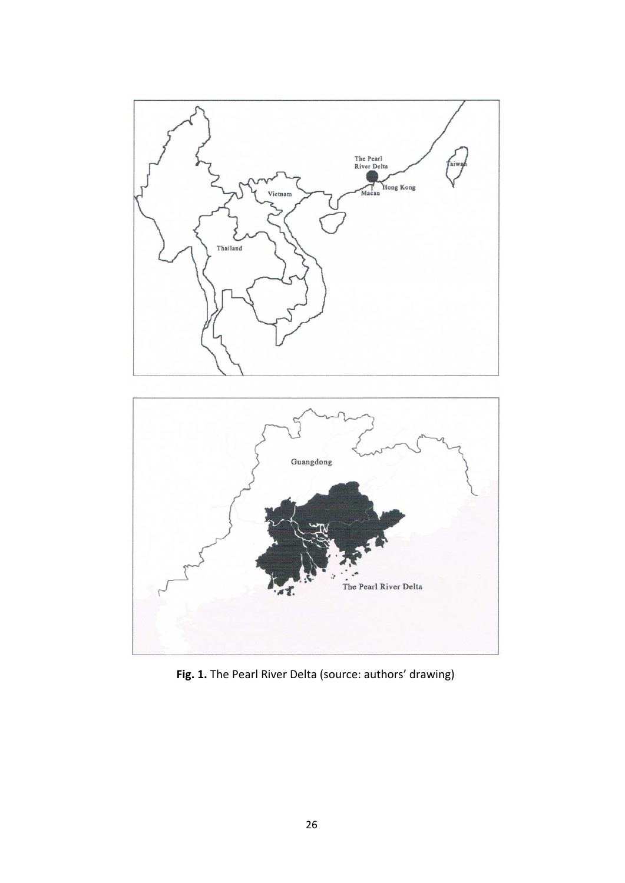

**Fig. 1.** The Pearl River Delta (source: authors' drawing)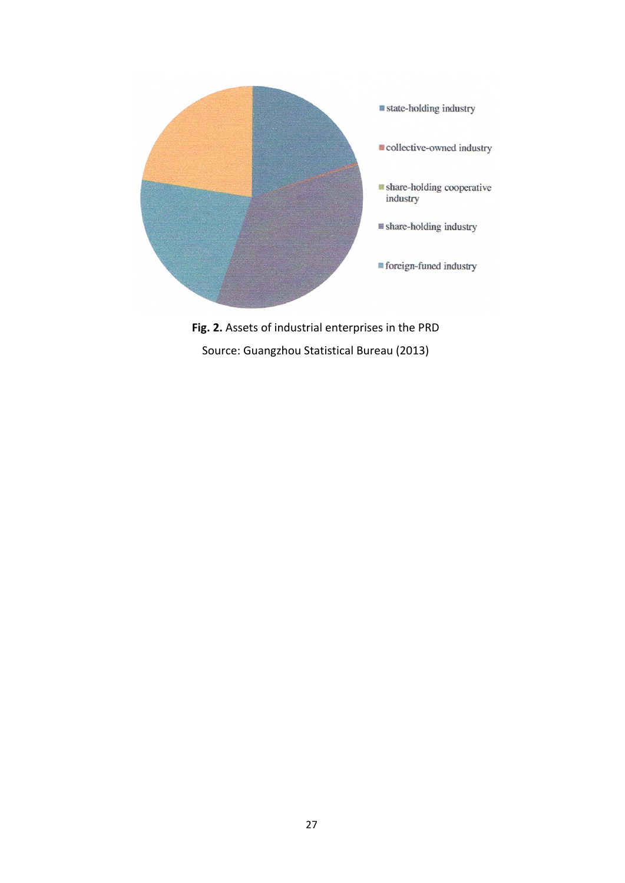

**Fig. 2.** Assets of industrial enterprises in the PRD Source: Guangzhou Statistical Bureau (2013)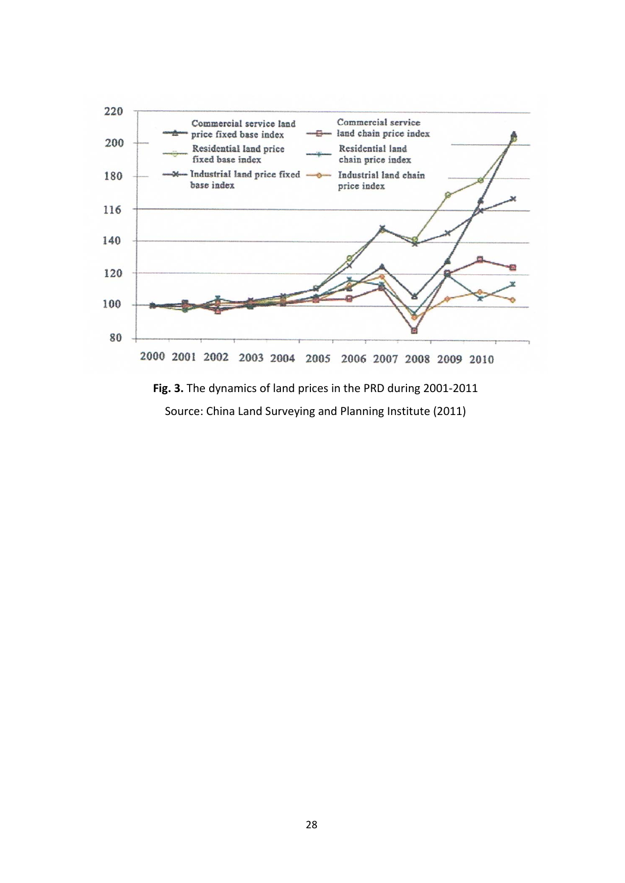

**Fig. 3.** The dynamics of land prices in the PRD during 2001‐2011 Source: China Land Surveying and Planning Institute (2011)